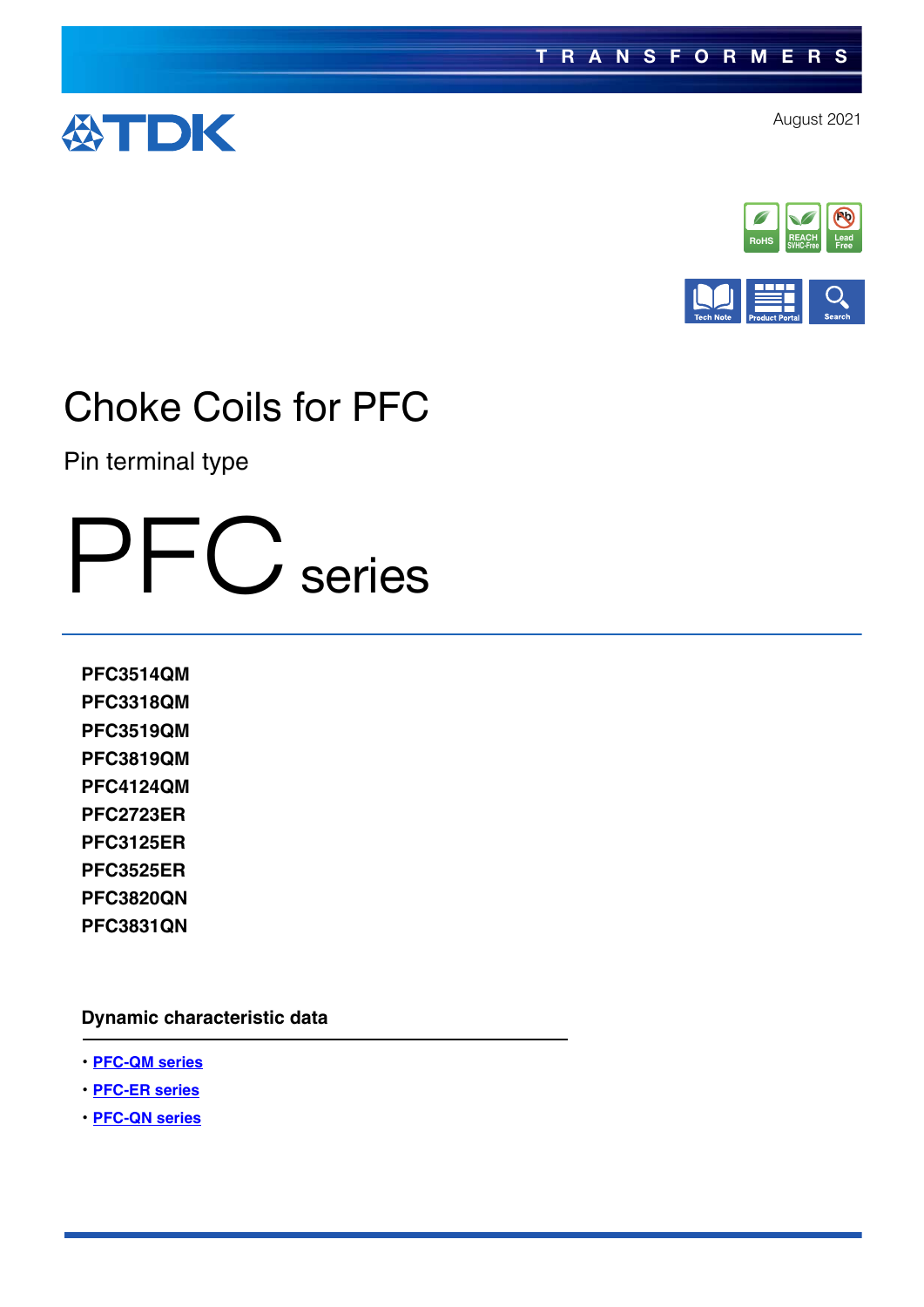





Pin terminal type

PFC series

**PFC3514QM PFC3318QM PFC3519QM PFC3819QM PFC4124QM PFC2723ER PFC3125ER PFC3525ER PFC3820QN PFC3831QN**

**Dynamic characteristic data**

- ・**[PFC-QM series](https://product.tdk.com/en/system/files?file=dam/doc/product/transformer/transformer/pfc-choke/chara_data/datasheet_trans_pfc-choke_pfc_qm_en.pdf)**
- ・**[PFC-ER series](https://product.tdk.com/en/system/files?file=dam/doc/product/transformer/transformer/pfc-choke/chara_data/datasheet_trans_pfc-choke_pfc_er_en.pdf)**
- ・**[PFC-QN series](https://product.tdk.com/en/system/files?file=dam/doc/product/transformer/transformer/pfc-choke/chara_data/datasheet_trans_pfc-choke_pfc_qn_en.pdf)**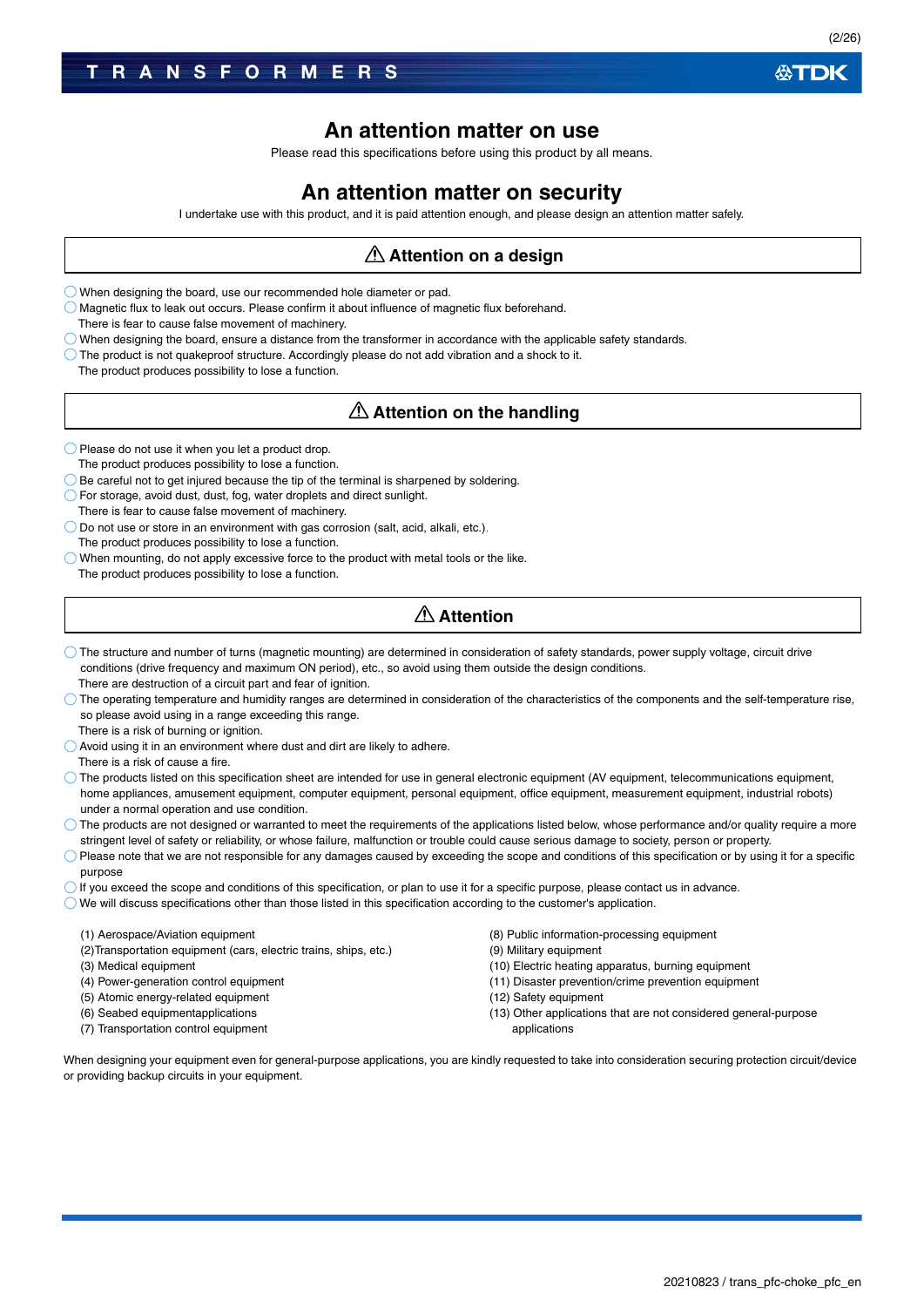### **An attention matter on use**

Please read this specifications before using this product by all means.

### **An attention matter on security**

I undertake use with this product, and it is paid attention enough, and please design an attention matter safely.

### **Attention on a design**

When designing the board, use our recommended hole diameter or pad.

 $\bigcirc$  Magnetic flux to leak out occurs. Please confirm it about influence of magnetic flux beforehand.

There is fear to cause false movement of machinery.

 $\bigcirc$  When designing the board, ensure a distance from the transformer in accordance with the applicable safety standards.

 $\bigcirc$  The product is not quakeproof structure. Accordingly please do not add vibration and a shock to it.

The product produces possibility to lose a function.

### **Attention on the handling**

 $\bigcirc$  Please do not use it when you let a product drop.

The product produces possibility to lose a function.

 $\bigcirc$  Be careful not to get injured because the tip of the terminal is sharpened by soldering.

- For storage, avoid dust, dust, fog, water droplets and direct sunlight. There is fear to cause false movement of machinery.
- $\bigcirc$  Do not use or store in an environment with gas corrosion (salt, acid, alkali, etc.). The product produces possibility to lose a function.

 $\bigcirc$  When mounting, do not apply excessive force to the product with metal tools or the like. The product produces possibility to lose a function.

## **Attention**

- The structure and number of turns (magnetic mounting) are determined in consideration of safety standards, power supply voltage, circuit drive conditions (drive frequency and maximum ON period), etc., so avoid using them outside the design conditions. There are destruction of a circuit part and fear of ignition.
- $\bigcirc$  The operating temperature and humidity ranges are determined in consideration of the characteristics of the components and the self-temperature rise, so please avoid using in a range exceeding this range.

There is a risk of burning or ignition.

Avoid using it in an environment where dust and dirt are likely to adhere.

There is a risk of cause a fire.

- The products listed on this specification sheet are intended for use in general electronic equipment (AV equipment, telecommunications equipment, home appliances, amusement equipment, computer equipment, personal equipment, office equipment, measurement equipment, industrial robots) under a normal operation and use condition.
- $\bigcirc$  The products are not designed or warranted to meet the requirements of the applications listed below, whose performance and/or quality require a more stringent level of safety or reliability, or whose failure, malfunction or trouble could cause serious damage to society, person or property.
- $\bigcirc$  Please note that we are not responsible for any damages caused by exceeding the scope and conditions of this specification or by using it for a specific purpose
- $\bigcirc$  If you exceed the scope and conditions of this specification, or plan to use it for a specific purpose, please contact us in advance.
- $\bigcirc$  We will discuss specifications other than those listed in this specification according to the customer's application.

#### (1) Aerospace/Aviation equipment

- (2)Transportation equipment (cars, electric trains, ships, etc.)
- (3) Medical equipment
- (4) Power-generation control equipment
- (5) Atomic energy-related equipment
- (6) Seabed equipmentapplications
- (7) Transportation control equipment

(8) Public information-processing equipment

- (9) Military equipment
- (10) Electric heating apparatus, burning equipment
- (11) Disaster prevention/crime prevention equipment
- (12) Safety equipment
- (13) Other applications that are not considered general-purpose applications

When designing your equipment even for general-purpose applications, you are kindly requested to take into consideration securing protection circuit/device or providing backup circuits in your equipment.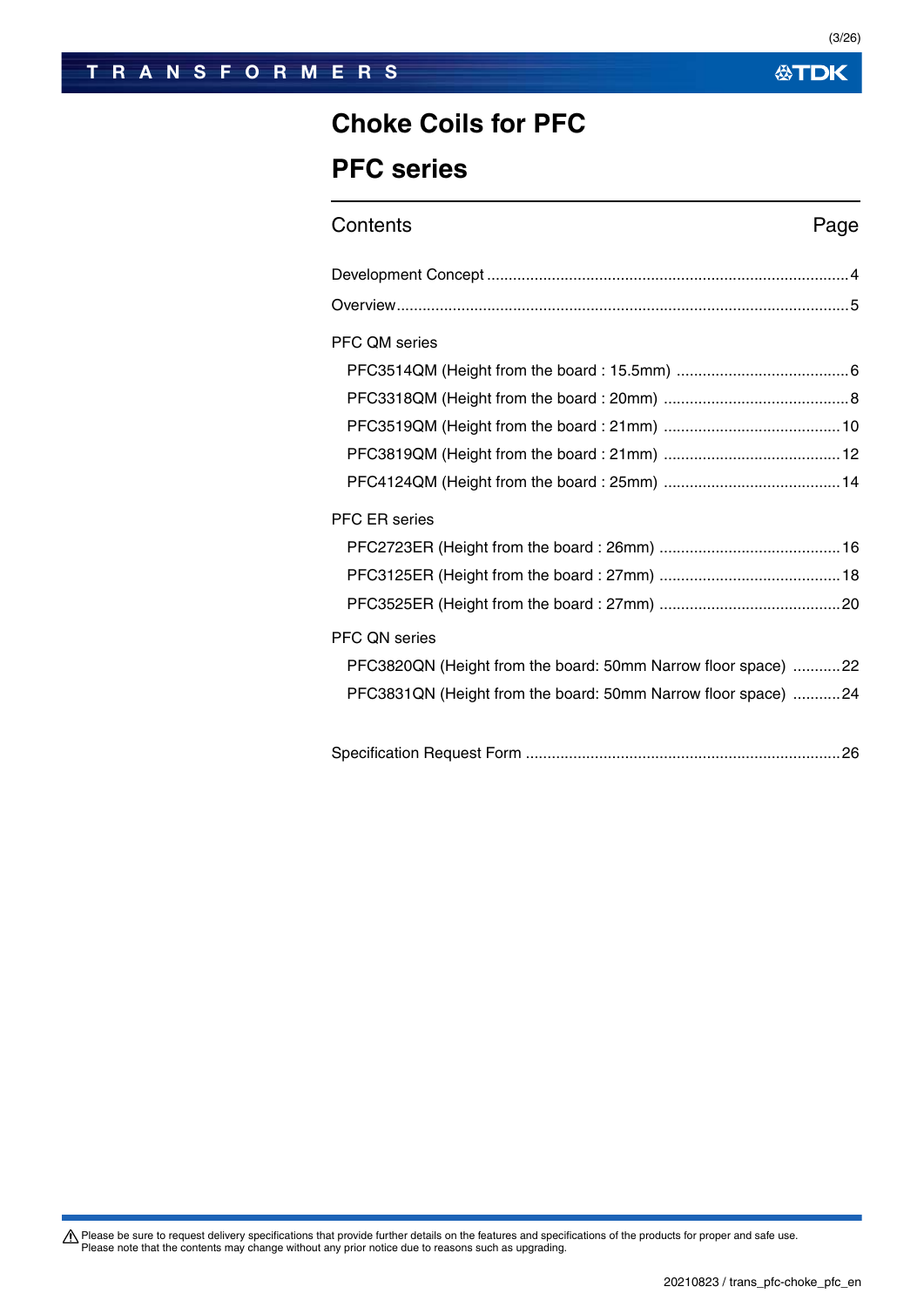### **TRANSFORMERS**

**公TDK** 

## **Choke Coils for PFC**

## **PFC series**

## Contents **Page**

| <b>PFC QM series</b>                                          |
|---------------------------------------------------------------|
|                                                               |
|                                                               |
|                                                               |
|                                                               |
|                                                               |
| <b>PFC ER series</b>                                          |
|                                                               |
|                                                               |
|                                                               |
| PFC QN series                                                 |
| PFC3820QN (Height from the board: 50mm Narrow floor space) 22 |
| PFC3831QN (Height from the board: 50mm Narrow floor space) 24 |
|                                                               |
|                                                               |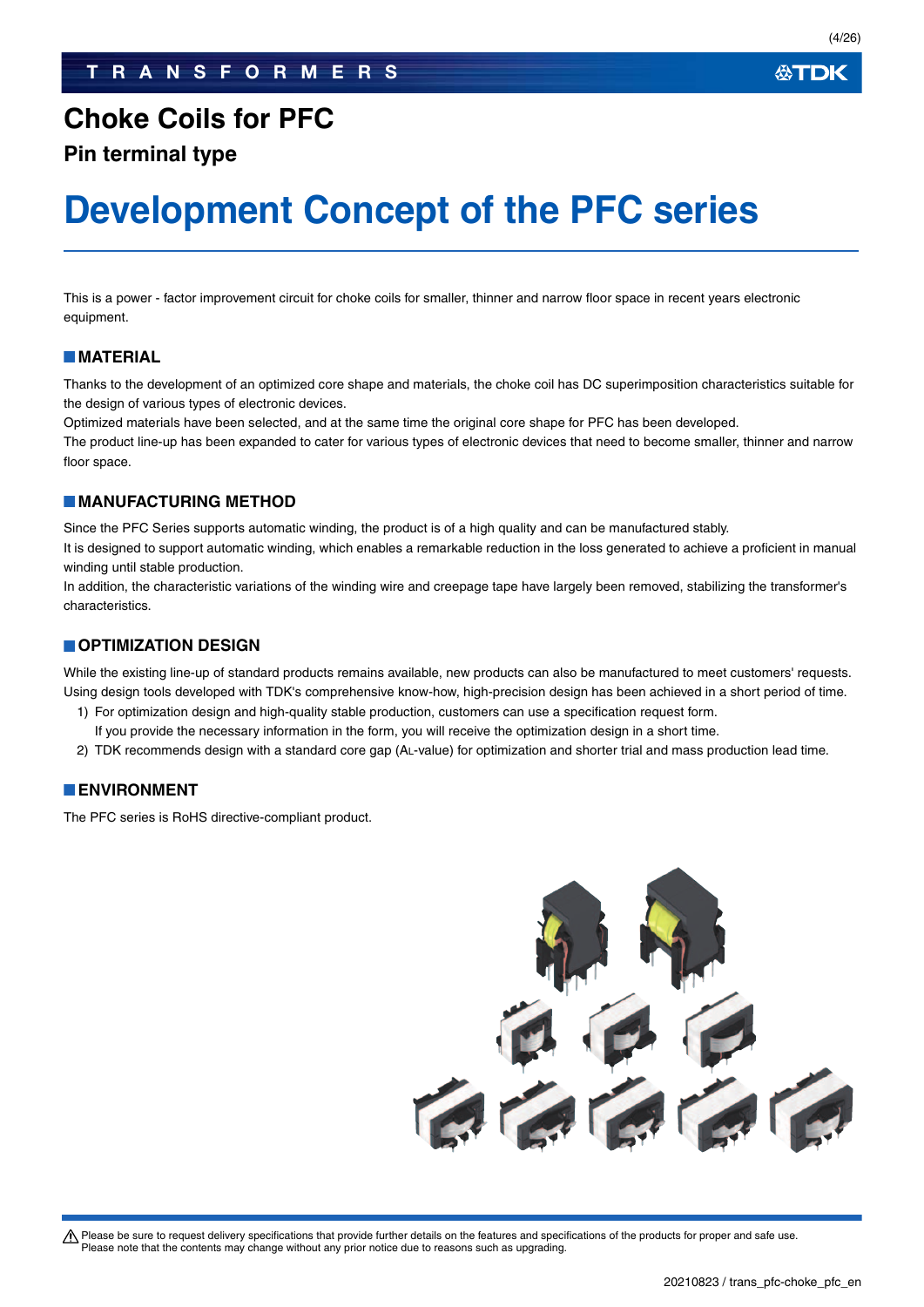### ∰TDK

## **Choke Coils for PFC**

**Pin terminal type**

# **Development Concept of the PFC series**

This is a power - factor improvement circuit for choke coils for smaller, thinner and narrow floor space in recent years electronic equipment.

### **MATERIAL**

Thanks to the development of an optimized core shape and materials, the choke coil has DC superimposition characteristics suitable for the design of various types of electronic devices.

Optimized materials have been selected, and at the same time the original core shape for PFC has been developed.

The product line-up has been expanded to cater for various types of electronic devices that need to become smaller, thinner and narrow floor space.

### **MANUFACTURING METHOD**

Since the PFC Series supports automatic winding, the product is of a high quality and can be manufactured stably.

It is designed to support automatic winding, which enables a remarkable reduction in the loss generated to achieve a proficient in manual winding until stable production.

In addition, the characteristic variations of the winding wire and creepage tape have largely been removed, stabilizing the transformer's characteristics.

### **COPTIMIZATION DESIGN**

While the existing line-up of standard products remains available, new products can also be manufactured to meet customers' requests. Using design tools developed with TDK's comprehensive know-how, high-precision design has been achieved in a short period of time.

- 1) For optimization design and high-quality stable production, customers can use a specification request form.
- If you provide the necessary information in the form, you will receive the optimization design in a short time.
- 2) TDK recommends design with a standard core gap (AL-value) for optimization and shorter trial and mass production lead time.

### **ENVIRONMENT**

The PFC series is RoHS directive-compliant product.

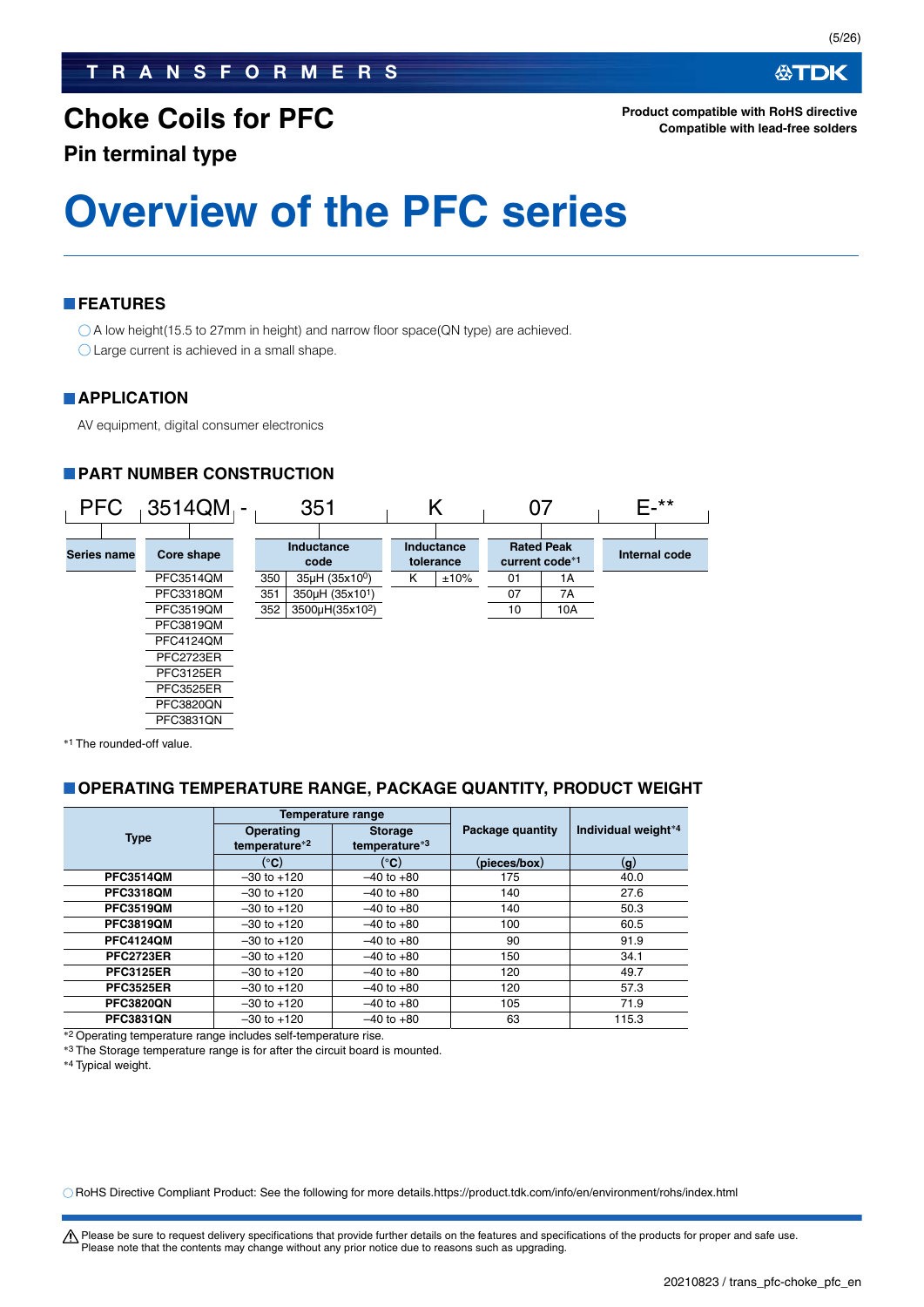**Pin terminal type**

# **Overview of the PFC series**

### **FEATURES**

○ A low height(15.5 to 27mm in height) and narrow floor space(QN type) are achieved. Large current is achieved in a small shape.

### **APPLICATION**

AV equipment, digital consumer electronics

### **PART NUMBER CONSTRUCTION**



\*<sup>1</sup> The rounded-off value.

### **OPERATING TEMPERATURE RANGE, PACKAGE QUANTITY, PRODUCT WEIGHT**

|                  |                                   | Temperature range               |                  |                     |  |
|------------------|-----------------------------------|---------------------------------|------------------|---------------------|--|
| <b>Type</b>      | <b>Operating</b><br>temperature*2 | <b>Storage</b><br>temperature*3 | Package quantity | Individual weight*4 |  |
|                  | (°C)                              | (°C)                            | (pieces/box)     | (g)                 |  |
| <b>PFC3514QM</b> | $-30$ to $+120$                   | $-40$ to $+80$                  | 175              | 40.0                |  |
| <b>PFC3318QM</b> | $-30$ to $+120$                   | $-40$ to $+80$                  | 140              | 27.6                |  |
| <b>PFC3519QM</b> | $-30$ to $+120$                   | $-40$ to $+80$                  | 140              | 50.3                |  |
| <b>PFC3819QM</b> | $-30$ to $+120$                   | $-40$ to $+80$                  | 100              | 60.5                |  |
| <b>PFC4124QM</b> | $-30$ to $+120$                   | $-40$ to $+80$                  | 90               | 91.9                |  |
| <b>PFC2723ER</b> | $-30$ to $+120$                   | $-40$ to $+80$                  | 150              | 34.1                |  |
| <b>PFC3125ER</b> | $-30$ to $+120$                   | $-40$ to $+80$                  | 120              | 49.7                |  |
| <b>PFC3525ER</b> | $-30$ to $+120$                   | $-40$ to $+80$                  | 120              | 57.3                |  |
| <b>PFC3820QN</b> | $-30$ to $+120$                   | $-40$ to $+80$                  | 105              | 71.9                |  |
| <b>PFC3831QN</b> | $-30$ to $+120$                   | $-40$ to $+80$                  | 63               | 115.3               |  |

\*<sup>2</sup> Operating temperature range includes self-temperature rise.

\*3 The Storage temperature range is for after the circuit board is mounted.

\*4 Typical weight.

RoHS Directive Compliant Product: See the following for more details.https://product.tdk.com/info/en/environment/rohs/index.html

∰TDK

A Please be sure to request delivery specifications that provide further details on the features and specifications of the products for proper and safe use. Please note that the contents may change without any prior notice due to reasons such as upgrading.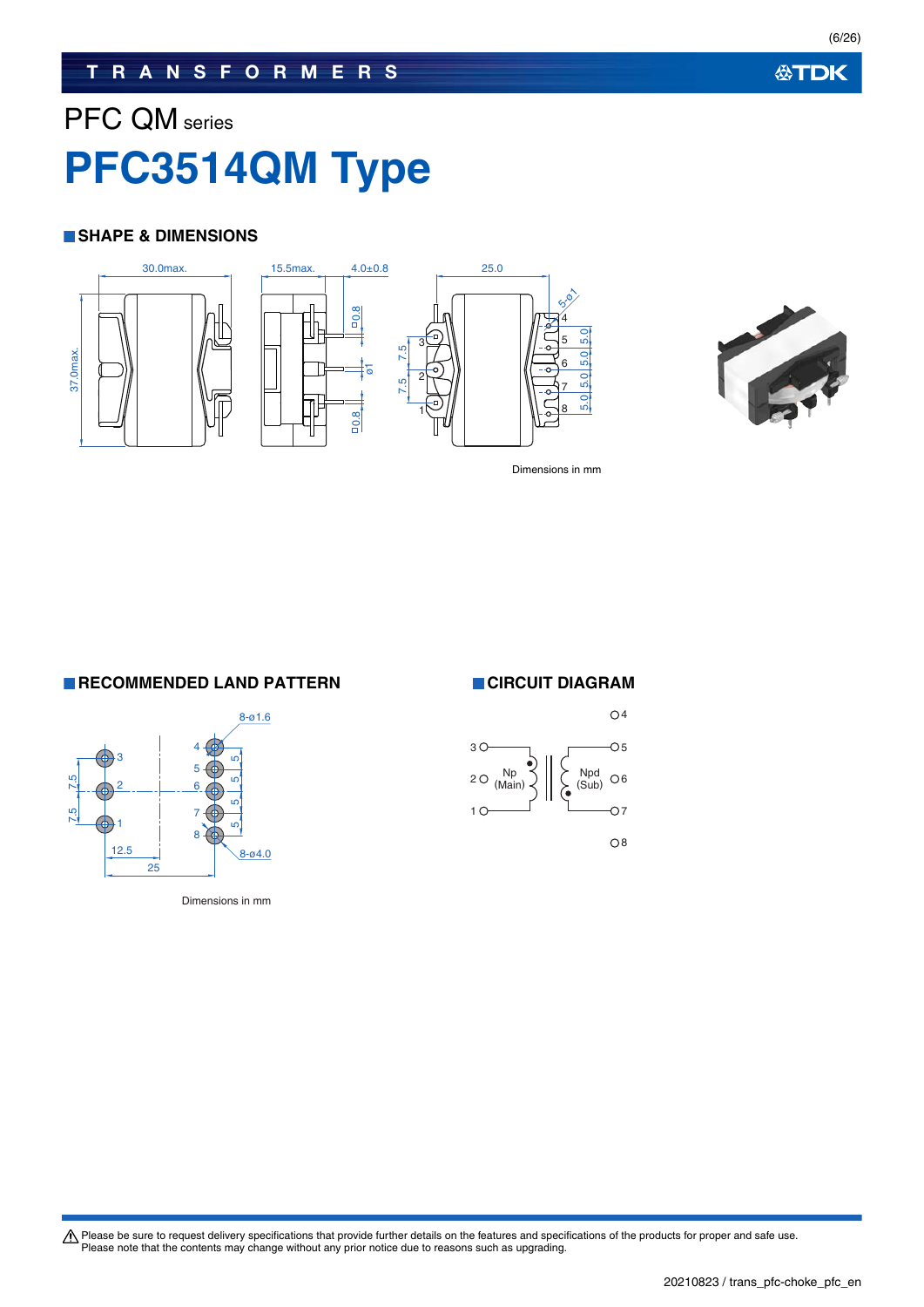(6/26)

# PFC QM series **PFC3514QM Type**

### **SHAPE & DIMENSIONS**





Dimensions in mm

**RECOMMENDED LAND PATTERN CIRCUIT DIAGRAM** 



Dimensions in mm

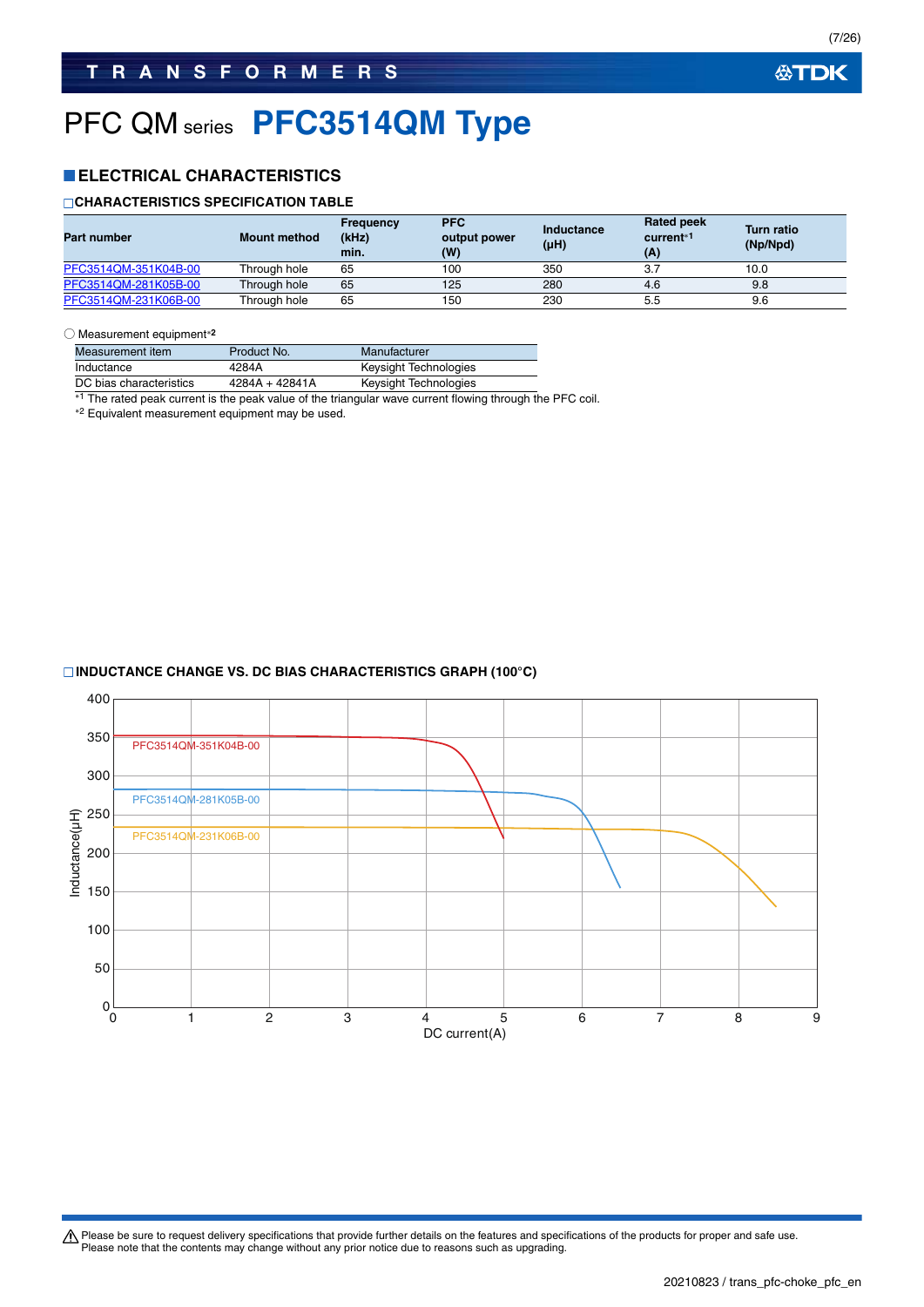# PFC QM series **PFC3514QM Type**

### **ELECTRICAL CHARACTERISTICS**

### **CHARACTERISTICS SPECIFICATION TABLE**

| <b>Part number</b>   | <b>Mount method</b> | Frequency<br>(kHz)<br>min. | <b>PFC</b><br>output power<br>(W) | Inductance<br>$(\mu H)$ | <b>Rated peek</b><br>current <sup>*1</sup><br>(A) | <b>Turn ratio</b><br>(Np/Npd) |
|----------------------|---------------------|----------------------------|-----------------------------------|-------------------------|---------------------------------------------------|-------------------------------|
| PFC3514QM-351K04B-00 | Through hole        | 65                         | 100                               | 350                     | 3.7                                               | 10.0                          |
| PFC3514QM-281K05B-00 | Through hole        | 65                         | 125                               | 280                     | 4.6                                               | 9.8                           |
| PFC3514QM-231K06B-00 | Through hole        | 65                         | 150                               | 230                     | 5.5                                               | 9.6                           |

#### ○ Measurement equipment**<sup>2</sup>**

| Measurement item        | Product No.    | Manufacturer          |
|-------------------------|----------------|-----------------------|
| Inductance              | 4284A          | Keysight Technologies |
| DC bias characteristics | 4284A + 42841A | Keysight Technologies |

\*1 The rated peak current is the peak value of the triangular wave current flowing through the PFC coil.

2 Equivalent measurement equipment may be used.

### **INDUCTANCE CHANGE VS. DC BIAS CHARACTERISTICS GRAPH (100°C)**

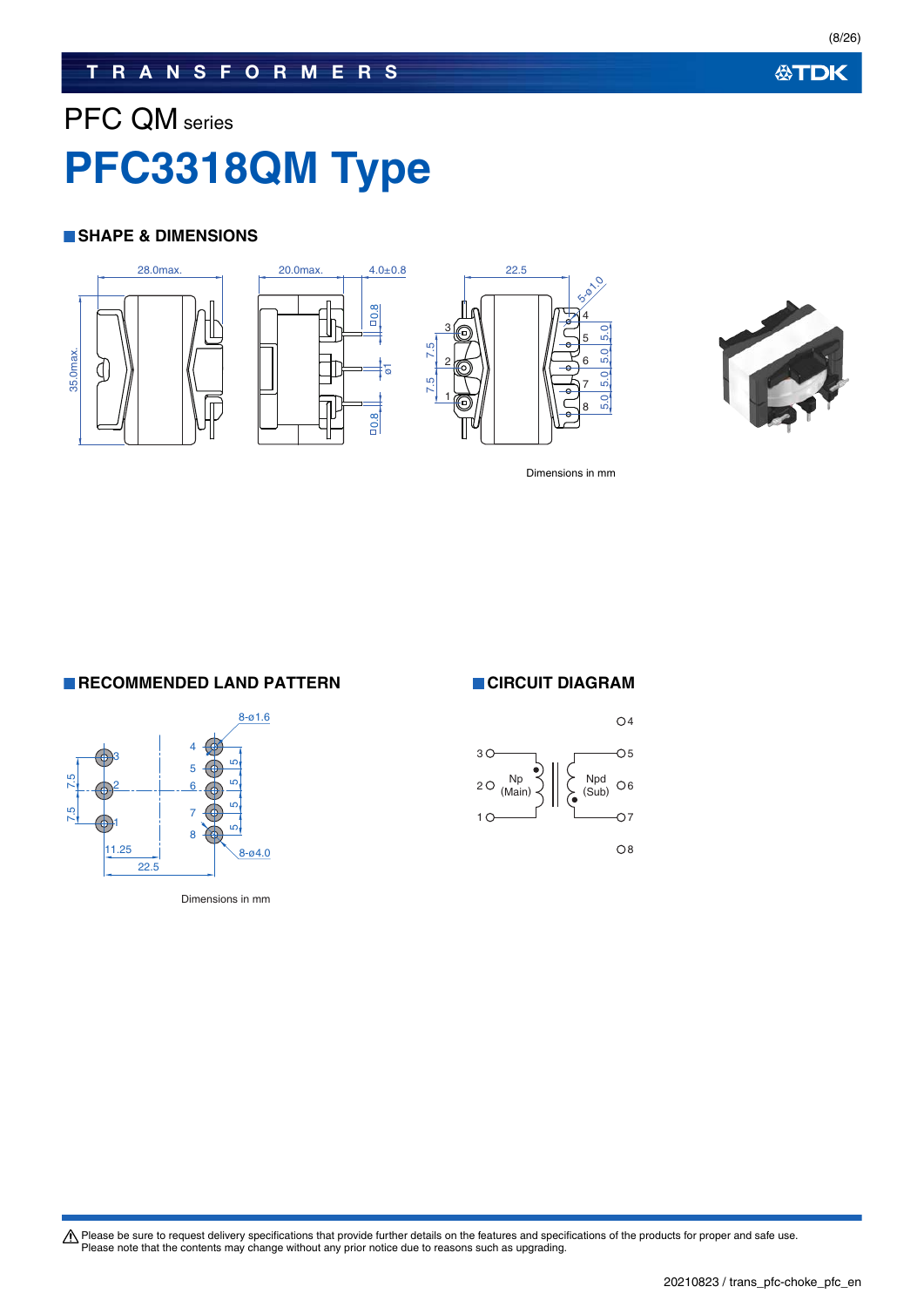## **TRANSFORMERS**

# PFC QM series **PFC3318QM Type**

### **SHAPE & DIMENSIONS**









Dimensions in mm

**RECOMMENDED LAND PATTERN CIRCUIT DIAGRAM** 



Dimensions in mm

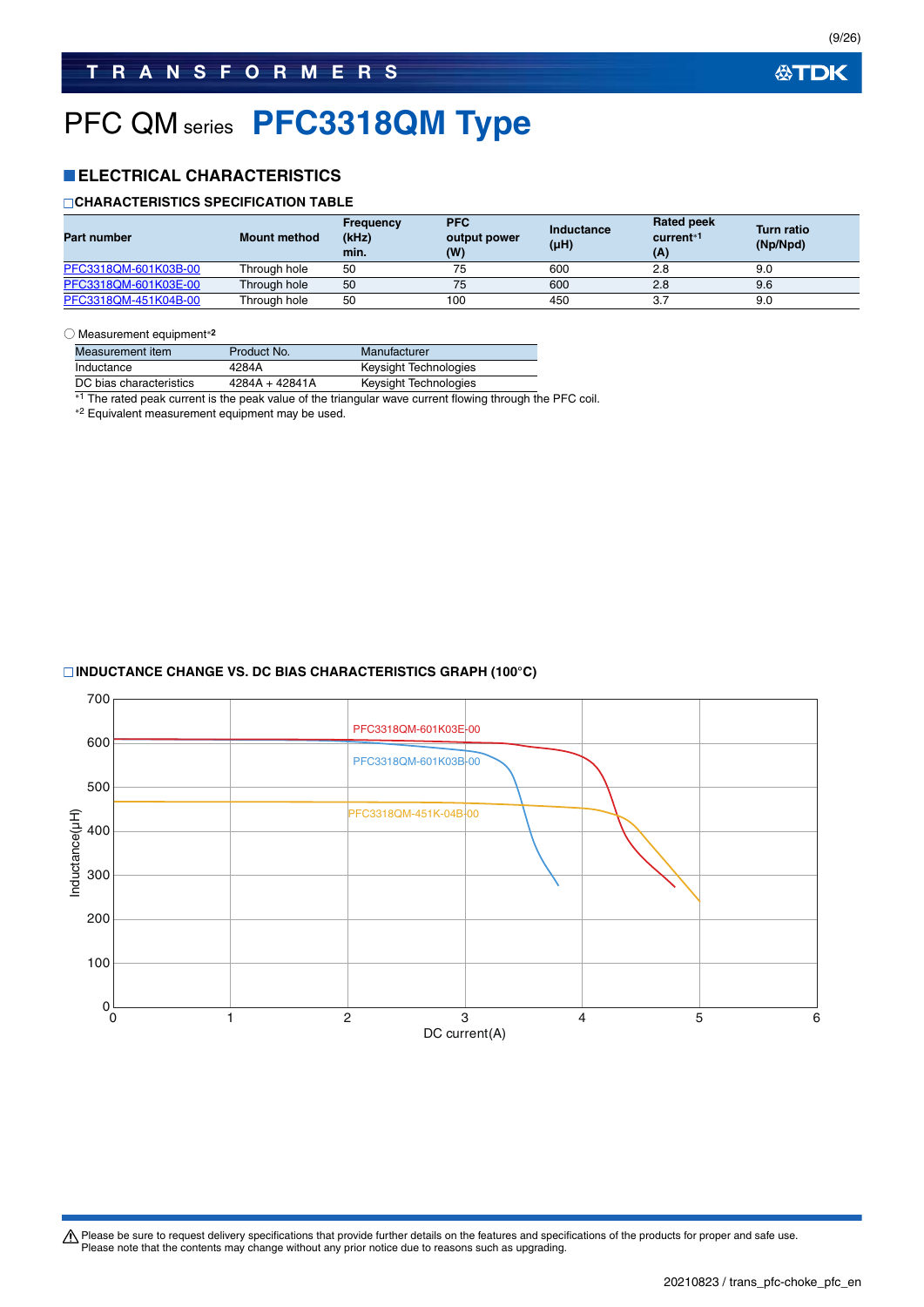# PFC QM series **PFC3318QM Type**

### **ELECTRICAL CHARACTERISTICS**

### **CHARACTERISTICS SPECIFICATION TABLE**

| <b>Part number</b>   | <b>Mount method</b> | Frequency<br>(kHz)<br>min. | <b>PFC</b><br>output power<br>(W) | Inductance<br>(µH) | <b>Rated peek</b><br>current <sup>*1</sup><br>(A) | <b>Turn ratio</b><br>(Np/Npd) |
|----------------------|---------------------|----------------------------|-----------------------------------|--------------------|---------------------------------------------------|-------------------------------|
| PFC3318QM-601K03B-00 | Through hole        | 50                         | 75                                | 600                | 2.8                                               | 9.0                           |
| PFC3318QM-601K03E-00 | Through hole        | 50                         | 75                                | 600                | 2.8                                               | 9.6                           |
| PFC3318QM-451K04B-00 | Through hole        | 50                         | 100                               | 450                |                                                   | 9.0                           |

#### ○ Measurement equipment**<sup>2</sup>**

| Measurement item        | Product No.      | Manufacturer          |
|-------------------------|------------------|-----------------------|
| Inductance              | 4284A            | Keysight Technologies |
| DC bias characteristics | $4284A + 42841A$ | Keysight Technologies |

\*1 The rated peak current is the peak value of the triangular wave current flowing through the PFC coil.

2 Equivalent measurement equipment may be used.

### **INDUCTANCE CHANGE VS. DC BIAS CHARACTERISTICS GRAPH (100°C)**

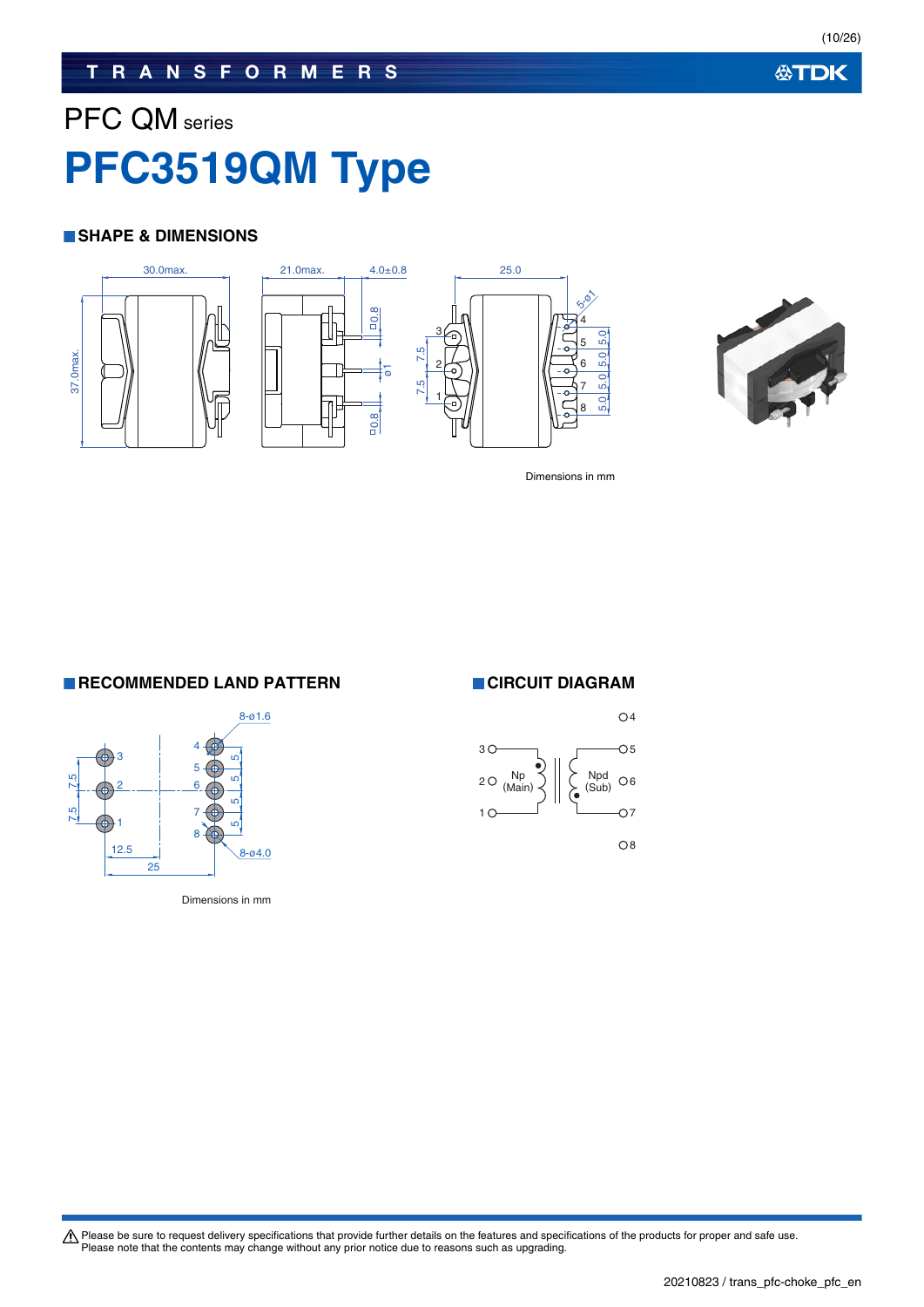### **TRANSFORMERS**

# PFC QM series **PFC3519QM Type**

### **SHAPE & DIMENSIONS**









Dimensions in mm

**RECOMMENDED LAND PATTERN CIRCUIT DIAGRAM** 



Dimensions in mm

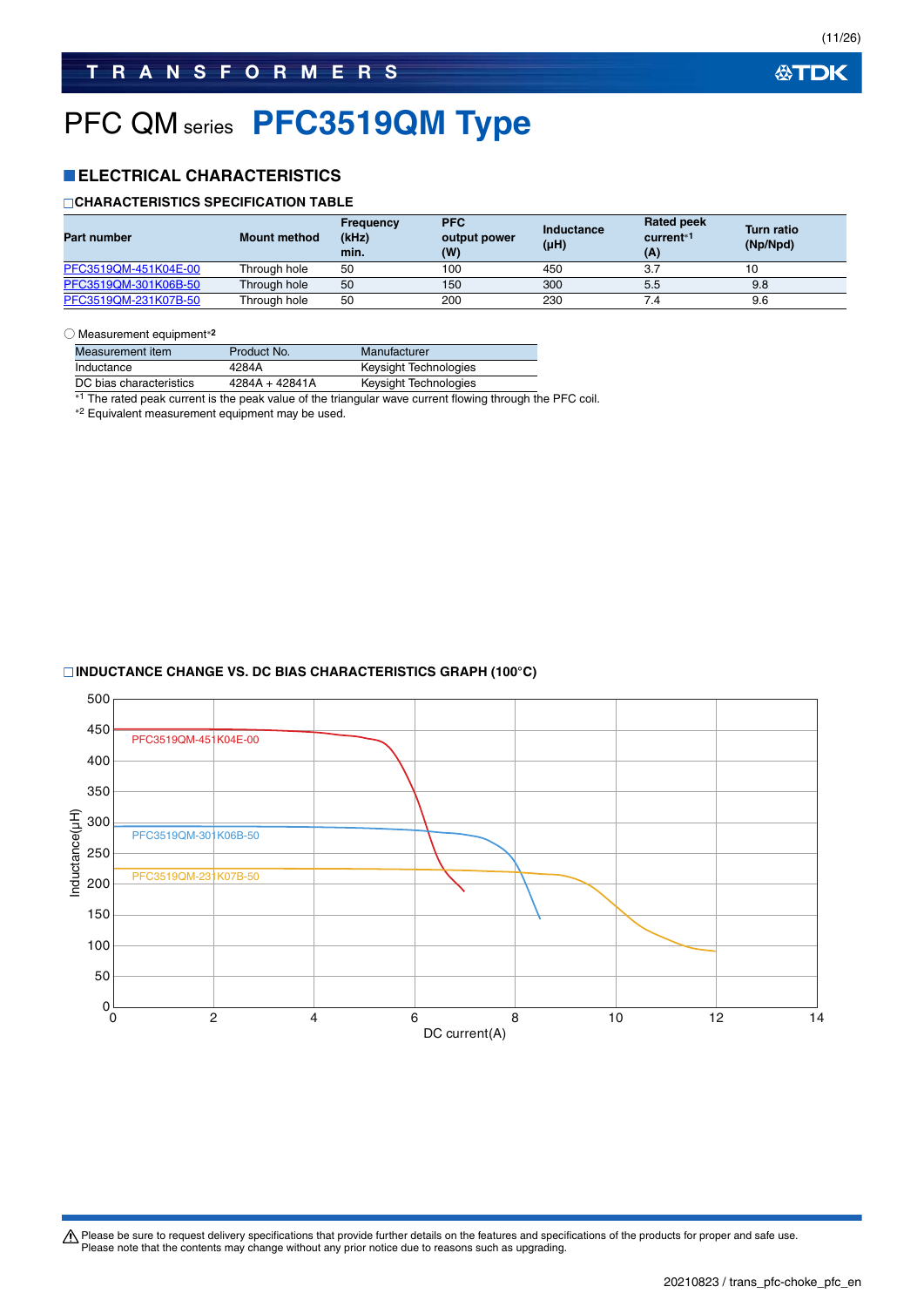# PFC QM series **PFC3519QM Type**

### **ELECTRICAL CHARACTERISTICS**

### **CHARACTERISTICS SPECIFICATION TABLE**

| <b>Part number</b>   | <b>Mount method</b> | Frequency<br>(kHz)<br>min. | <b>PFC</b><br>output power<br>(W) | Inductance<br>$(\mu H)$ | <b>Rated peek</b><br>current <sup>*1</sup><br>(A) | <b>Turn ratio</b><br>(Np/Npd) |
|----------------------|---------------------|----------------------------|-----------------------------------|-------------------------|---------------------------------------------------|-------------------------------|
| PFC3519QM-451K04E-00 | Through hole        | 50                         | 100                               | 450                     | 3.7                                               |                               |
| PFC3519QM-301K06B-50 | Through hole        | 50                         | 150                               | 300                     | 5.5                                               | 9.8                           |
| PFC3519QM-231K07B-50 | Through hole        | 50                         | 200                               | 230                     | 7.4                                               | 9.6                           |

#### ○ Measurement equipment**<sup>2</sup>**

| Measurement item        | Product No.      | Manufacturer          |
|-------------------------|------------------|-----------------------|
| Inductance              | 4284A            | Keysight Technologies |
| DC bias characteristics | $4284A + 42841A$ | Keysight Technologies |

\*1 The rated peak current is the peak value of the triangular wave current flowing through the PFC coil.

2 Equivalent measurement equipment may be used.

### **INDUCTANCE CHANGE VS. DC BIAS CHARACTERISTICS GRAPH (100°C)**

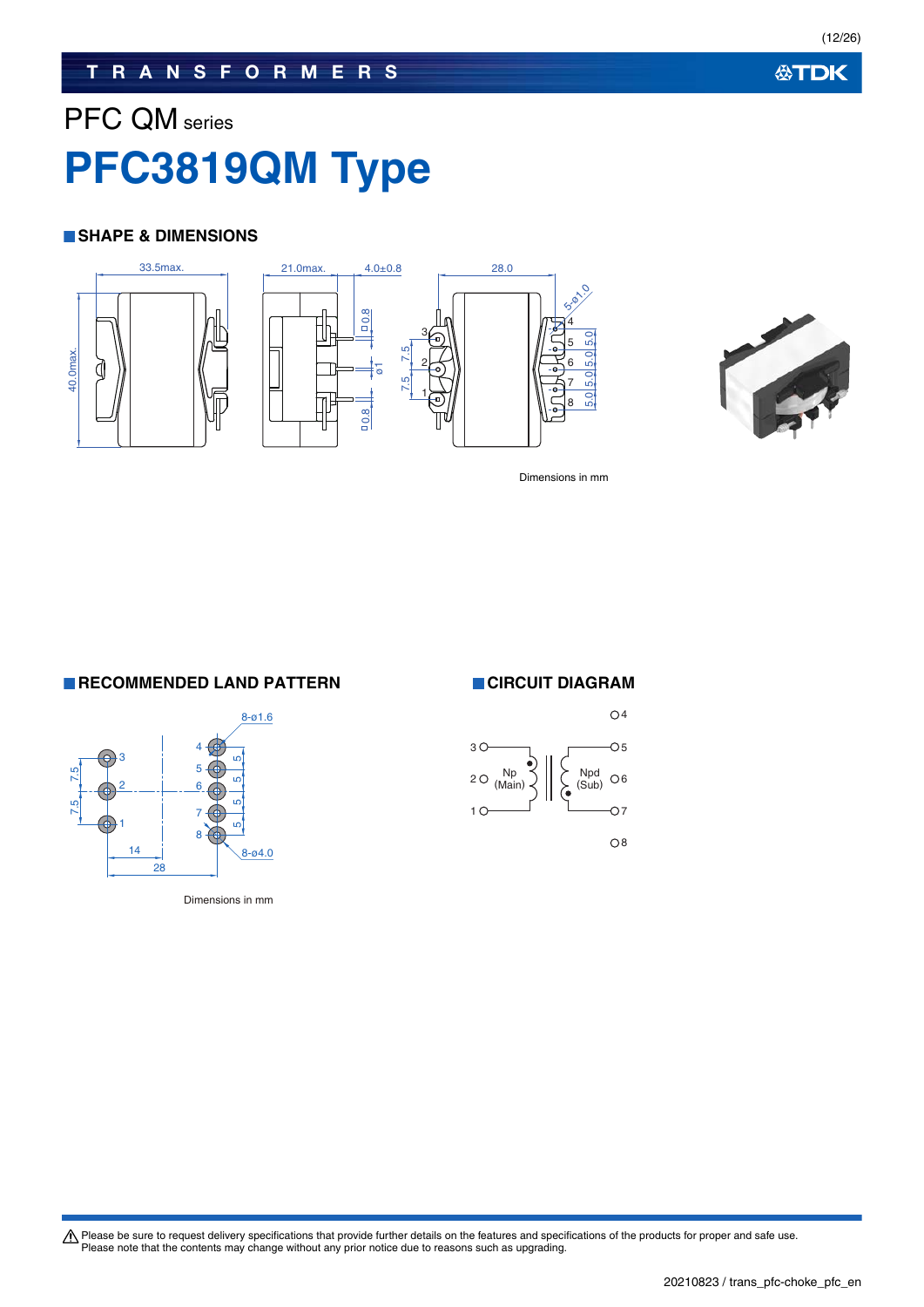### **TRANSFORMERS**

# PFC QM series **PFC3819QM Type**

### **SHAPE & DIMENSIONS**







Dimensions in mm

5.0 5.0 5.0 5.0

**RECOMMENDED LAND PATTERN CIRCUIT DIAGRAM** 



Dimensions in mm

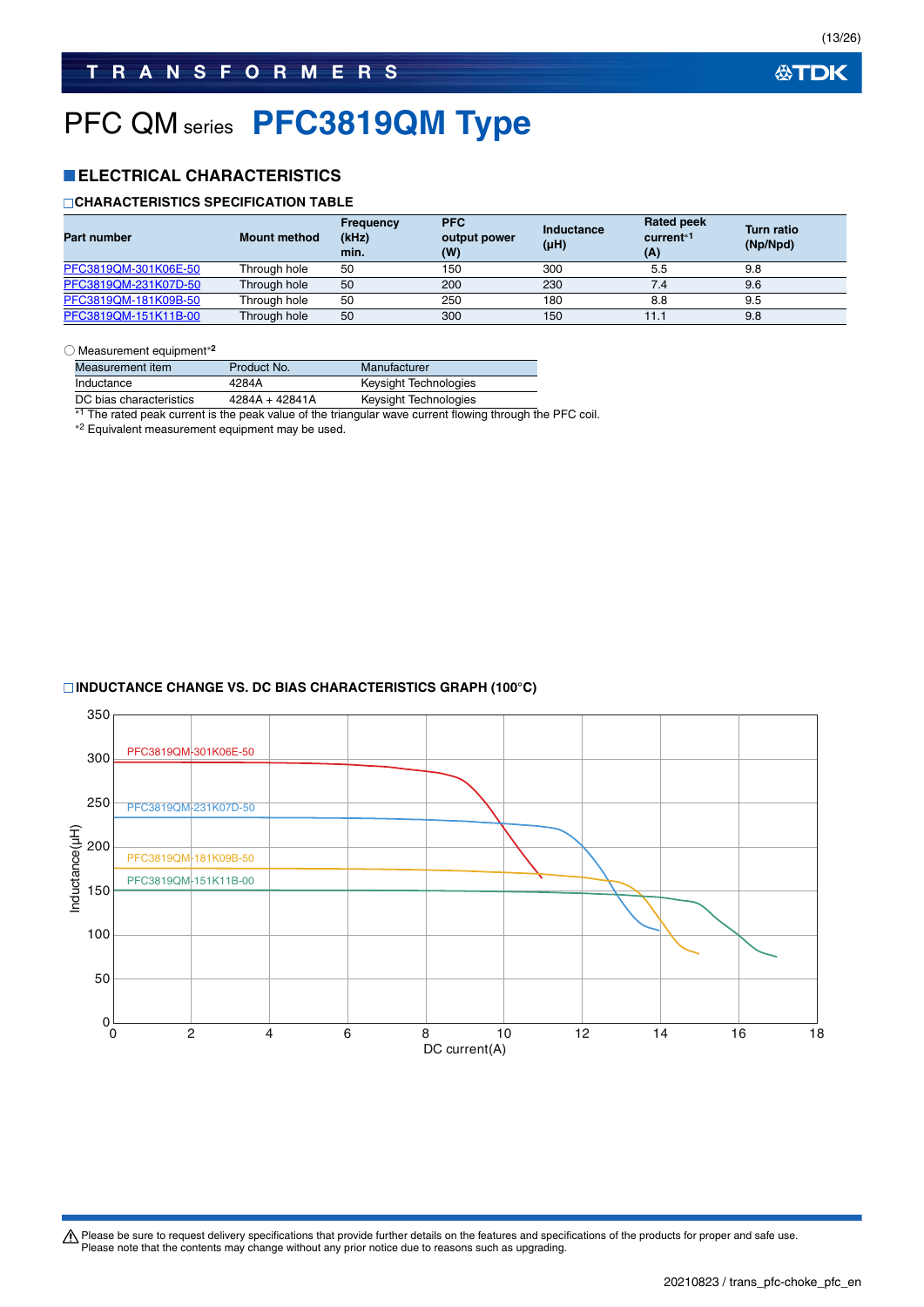# PFC QM series **PFC3819QM Type**

### **ELECTRICAL CHARACTERISTICS**

### **CHARACTERISTICS SPECIFICATION TABLE**

| <b>Part number</b>   | <b>Mount method</b> | <b>Frequency</b><br>(kHz)<br>min. | <b>PFC</b><br>output power<br>(W) | Inductance<br>$(\mu H)$ | <b>Rated peek</b><br>current <sup>*1</sup><br>(A) | <b>Turn ratio</b><br>(Np/Npd) |
|----------------------|---------------------|-----------------------------------|-----------------------------------|-------------------------|---------------------------------------------------|-------------------------------|
| PFC3819QM-301K06E-50 | Through hole        | 50                                | 150                               | 300                     | 5.5                                               | 9.8                           |
| PFC3819QM-231K07D-50 | Through hole        | 50                                | 200                               | 230                     | 7.4                                               | 9.6                           |
| PFC3819QM-181K09B-50 | Through hole        | 50                                | 250                               | 180                     | 8.8                                               | 9.5                           |
| PFC3819QM-151K11B-00 | Through hole        | 50                                | 300                               | 150                     | 11.1                                              | 9.8                           |

○ Measurement equipment**<sup>2</sup>**

| Measurement item        | Product No.    | Manufacturer          |
|-------------------------|----------------|-----------------------|
| Inductance              | 4284A          | Keysight Technologies |
| DC bias characteristics | 4284A + 42841A | Keysight Technologies |

<sup>\*1</sup> The rated peak current is the peak value of the triangular wave current flowing through the PFC coil.

2 Equivalent measurement equipment may be used.

### **INDUCTANCE CHANGE VS. DC BIAS CHARACTERISTICS GRAPH (100°C)**

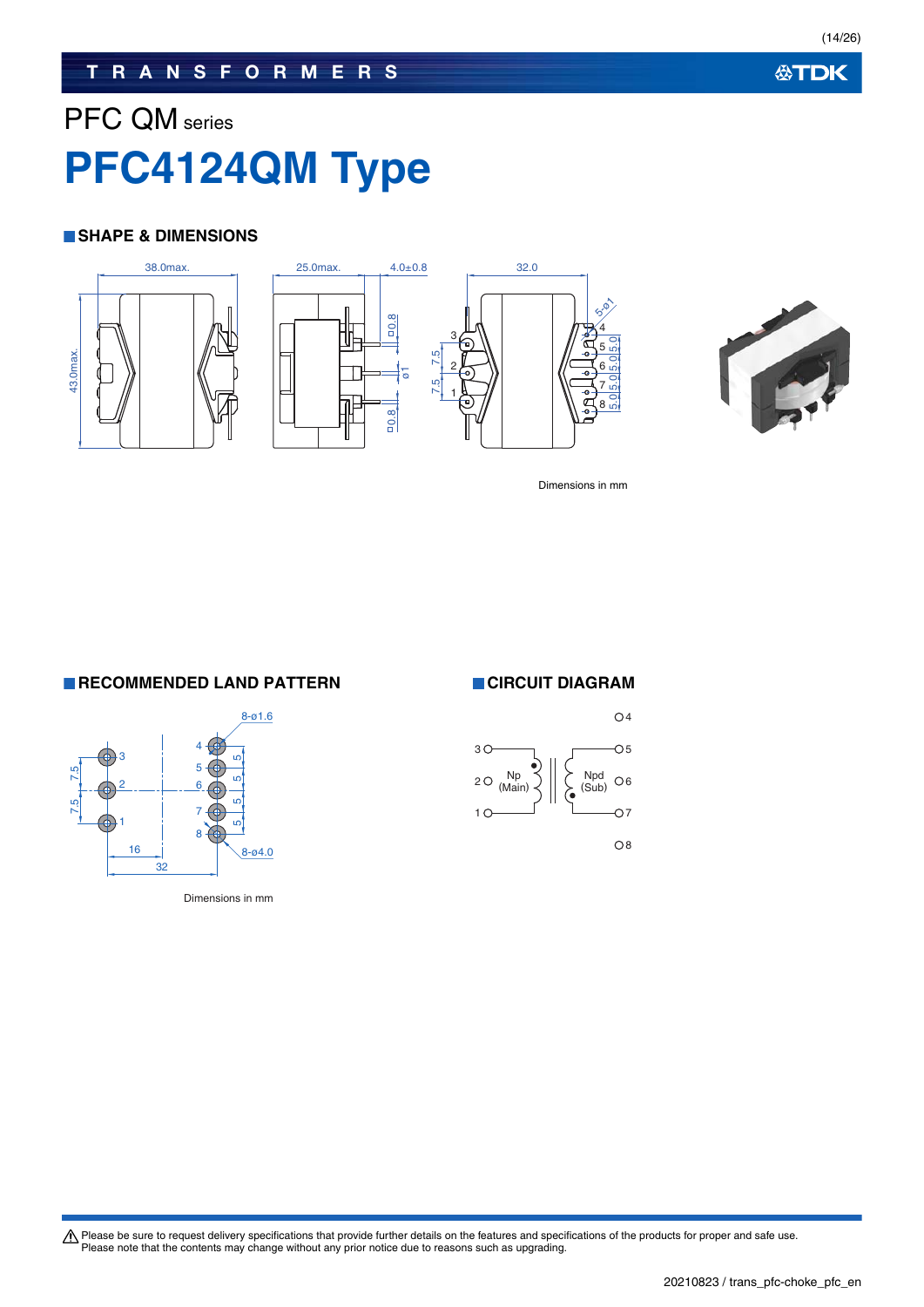### **TRANSFORMERS**

# PFC QM series **PFC4124QM Type**

### **SHAPE & DIMENSIONS**







Dimensions in mm

**RECOMMENDED LAND PATTERN CIRCUIT DIAGRAM** 



Dimensions in mm

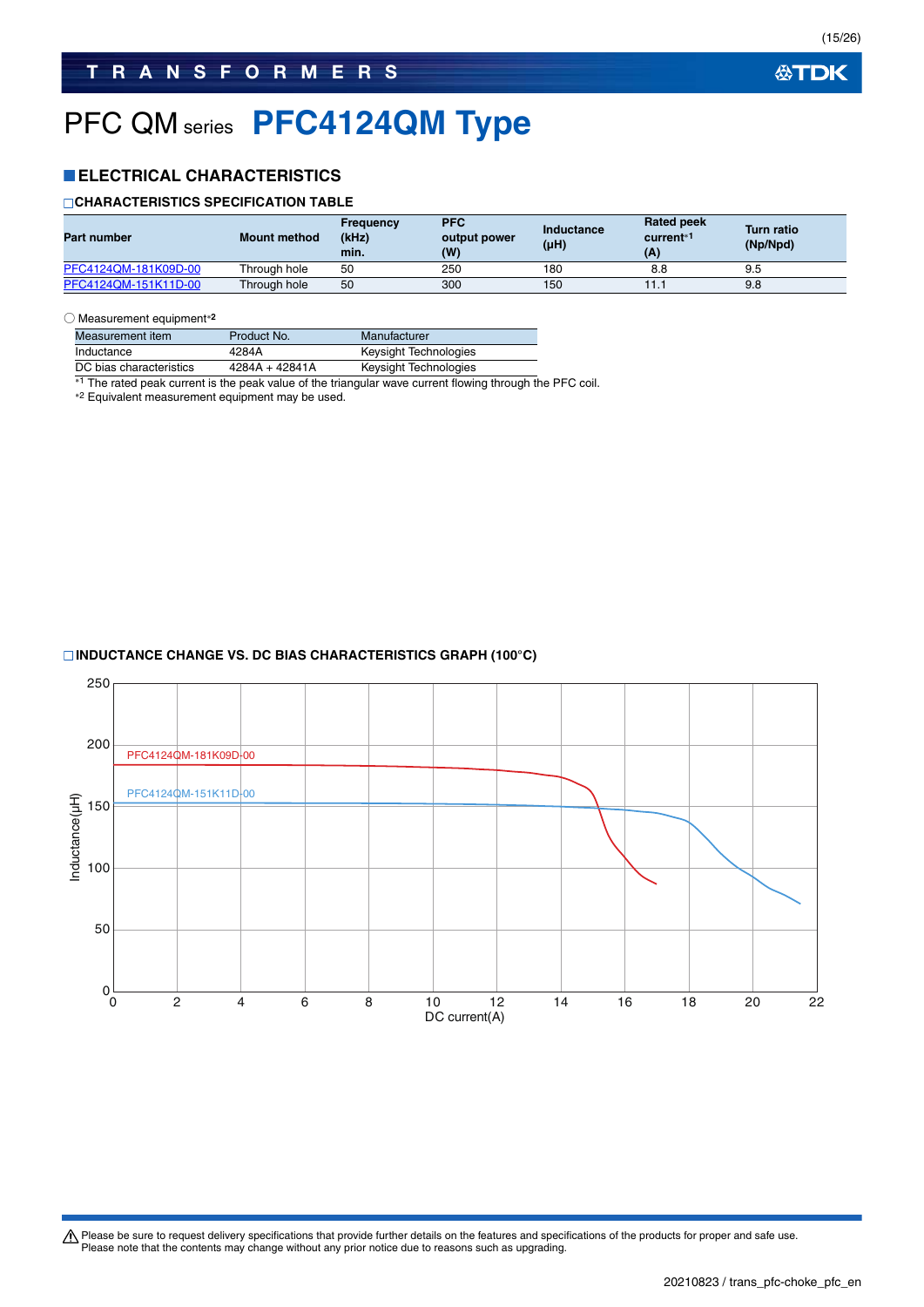# PFC QM series **PFC4124QM Type**

### **ELECTRICAL CHARACTERISTICS**

### **CHARACTERISTICS SPECIFICATION TABLE**

| Part number          | <b>Mount method</b> | <b>Frequency</b><br>(kHz)<br>min. | <b>PFC</b><br>output power<br>(W) | Inductance<br>$(\mu H)$ | <b>Rated peek</b><br>current <sup>*1</sup><br>(A) | <b>Turn ratio</b><br>(Np/Npd) |
|----------------------|---------------------|-----------------------------------|-----------------------------------|-------------------------|---------------------------------------------------|-------------------------------|
| PFC4124QM-181K09D-00 | Throuah hole        | 50                                | 250                               | 180                     | 8.8                                               | 9.5                           |
| PFC4124OM-151K11D-00 | Through hole        | 50                                | 300                               | 150                     | 11.1                                              | 9.8                           |

#### ○ Measurement equipment**<sup>2</sup>**

| Measurement item        | Product No.    | Manufacturer          |
|-------------------------|----------------|-----------------------|
| Inductance              | 4284A          | Keysight Technologies |
| DC bias characteristics | 4284A + 42841A | Keysight Technologies |

<sup>\*1</sup> The rated peak current is the peak value of the triangular wave current flowing through the PFC coil.

2 Equivalent measurement equipment may be used.

### **INDUCTANCE CHANGE VS. DC BIAS CHARACTERISTICS GRAPH (100°C)**

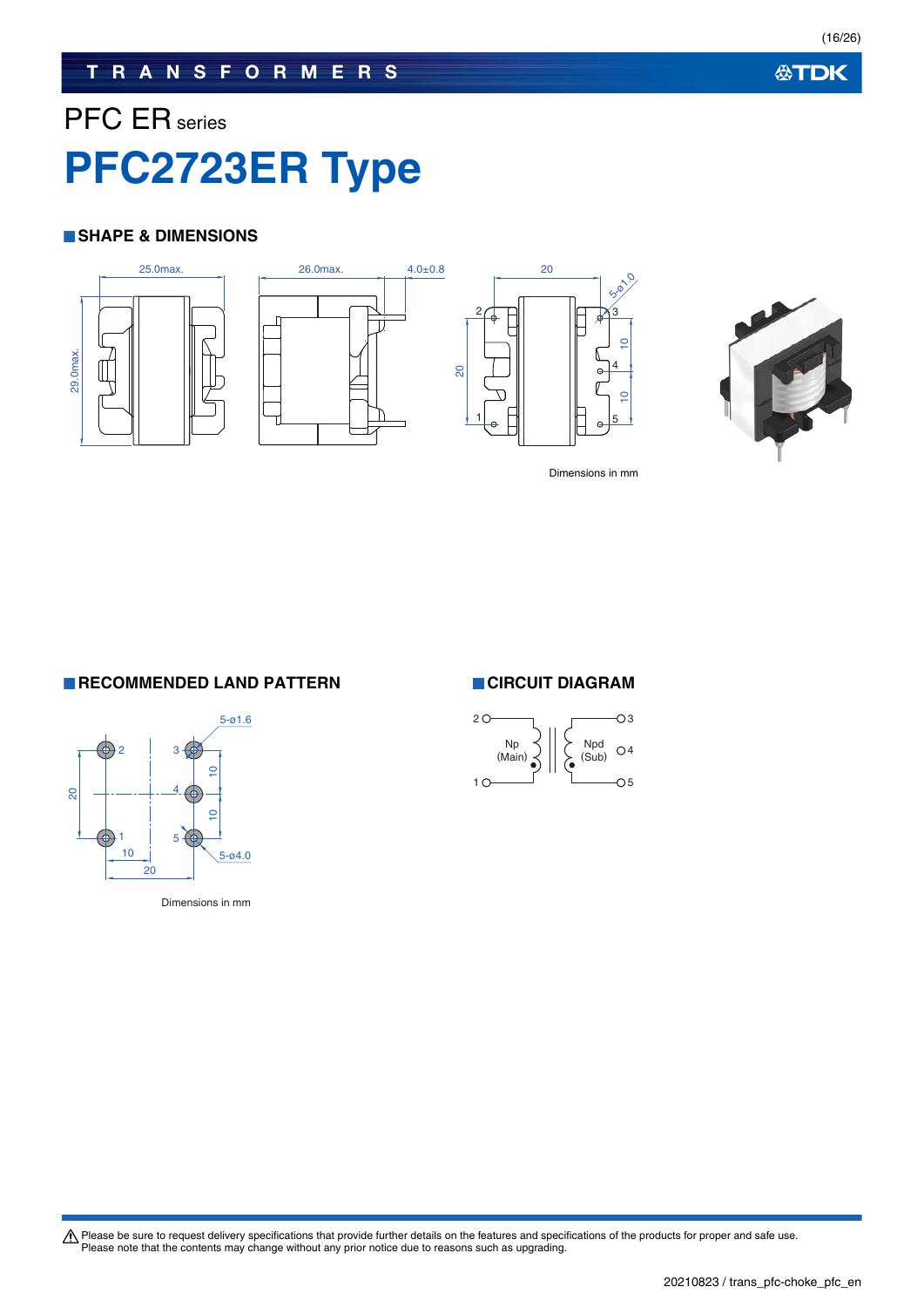## **TRANSFORMERS**

# PFC ER series **PFC2723ER Type**

### **SHAPE & DIMENSIONS**









Dimensions in mm

**RECOMMENDED LAND PATTERN CIRCUIT DIAGRAM** 



Dimensions in mm

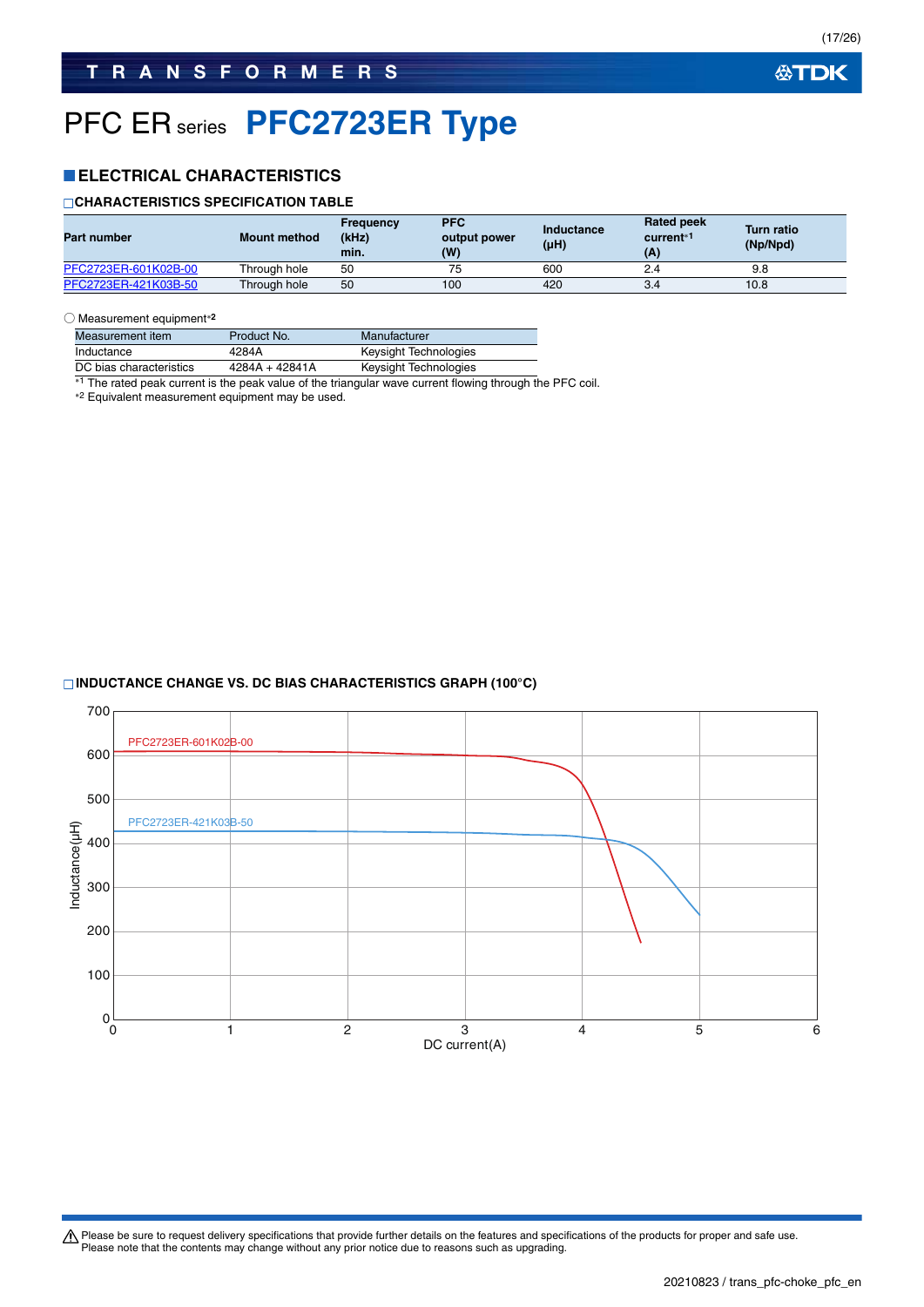# PFC ER series **PFC2723ER Type**

### **ELECTRICAL CHARACTERISTICS**

### **CHARACTERISTICS SPECIFICATION TABLE**

| <b>Part number</b>   | <b>Mount method</b> | Frequency<br>(kHz)<br>min. | <b>PFC</b><br>output power<br>(W) | Inductance<br>(µH) | <b>Rated peek</b><br>current <sup>*1</sup><br>(A) | <b>Turn ratio</b><br>(Np/Npd) |
|----------------------|---------------------|----------------------------|-----------------------------------|--------------------|---------------------------------------------------|-------------------------------|
| PFC2723ER-601K02B-00 | Through hole        | 50                         |                                   | 600                | 2.4                                               | 9.8                           |
| PFC2723ER-421K03B-50 | Through hole        | 50                         | 100                               | 420                | 3.4                                               | 10.8                          |

#### ○ Measurement equipment**<sup>2</sup>**

| Measurement item        | Product No.      | Manufacturer          |
|-------------------------|------------------|-----------------------|
| Inductance              | 4284A            | Keysight Technologies |
| DC bias characteristics | $4284A + 42841A$ | Keysight Technologies |

<sup>\*1</sup> The rated peak current is the peak value of the triangular wave current flowing through the PFC coil.

2 Equivalent measurement equipment may be used.

### **INDUCTANCE CHANGE VS. DC BIAS CHARACTERISTICS GRAPH (100°C)**

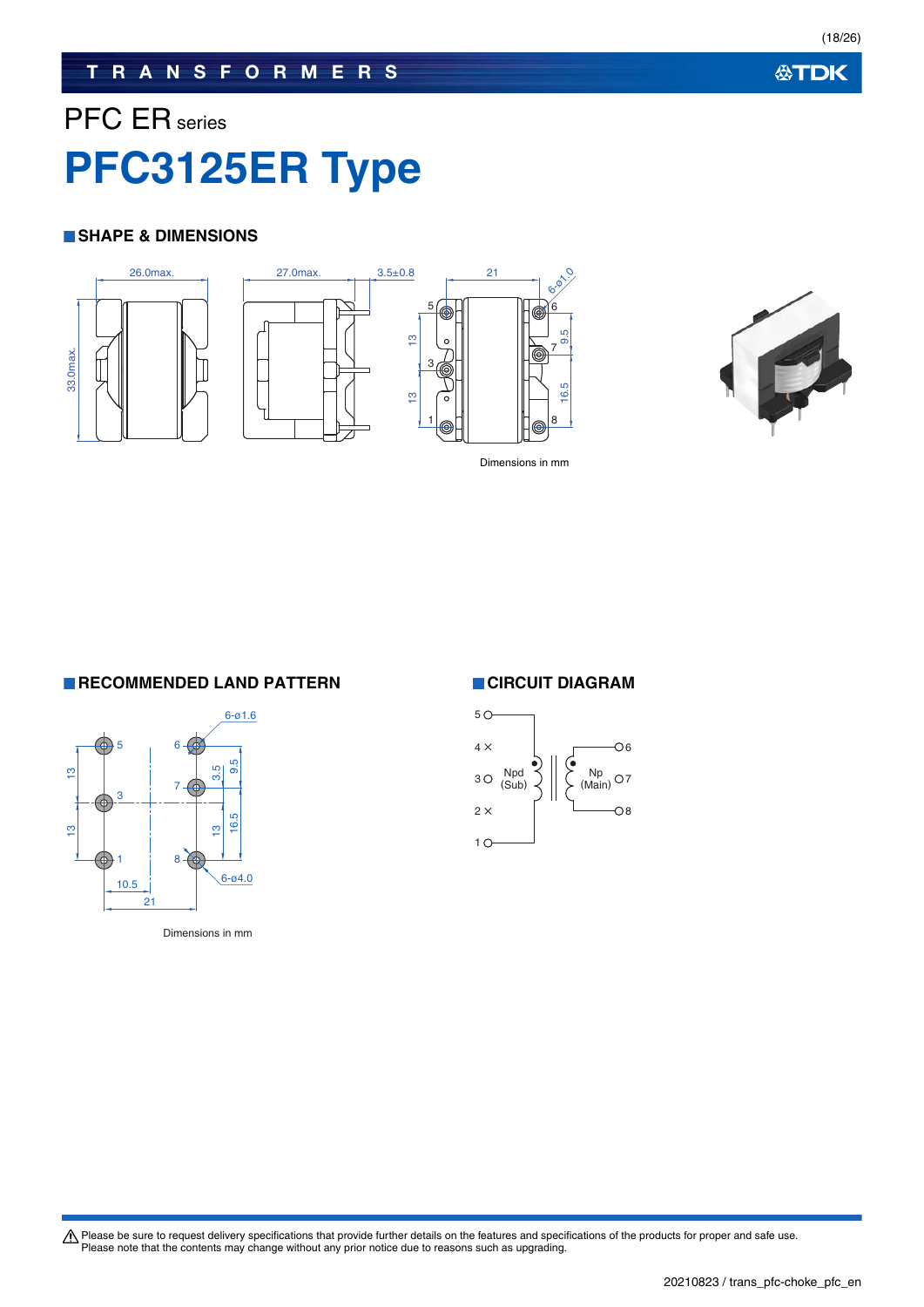### **TRANSFORMERS**

# PFC ER series **PFC3125ER Type**

### **SHAPE & DIMENSIONS**





Dimensions in mm

**RECOMMENDED LAND PATTERN CIRCUIT DIAGRAM** 



Dimensions in mm

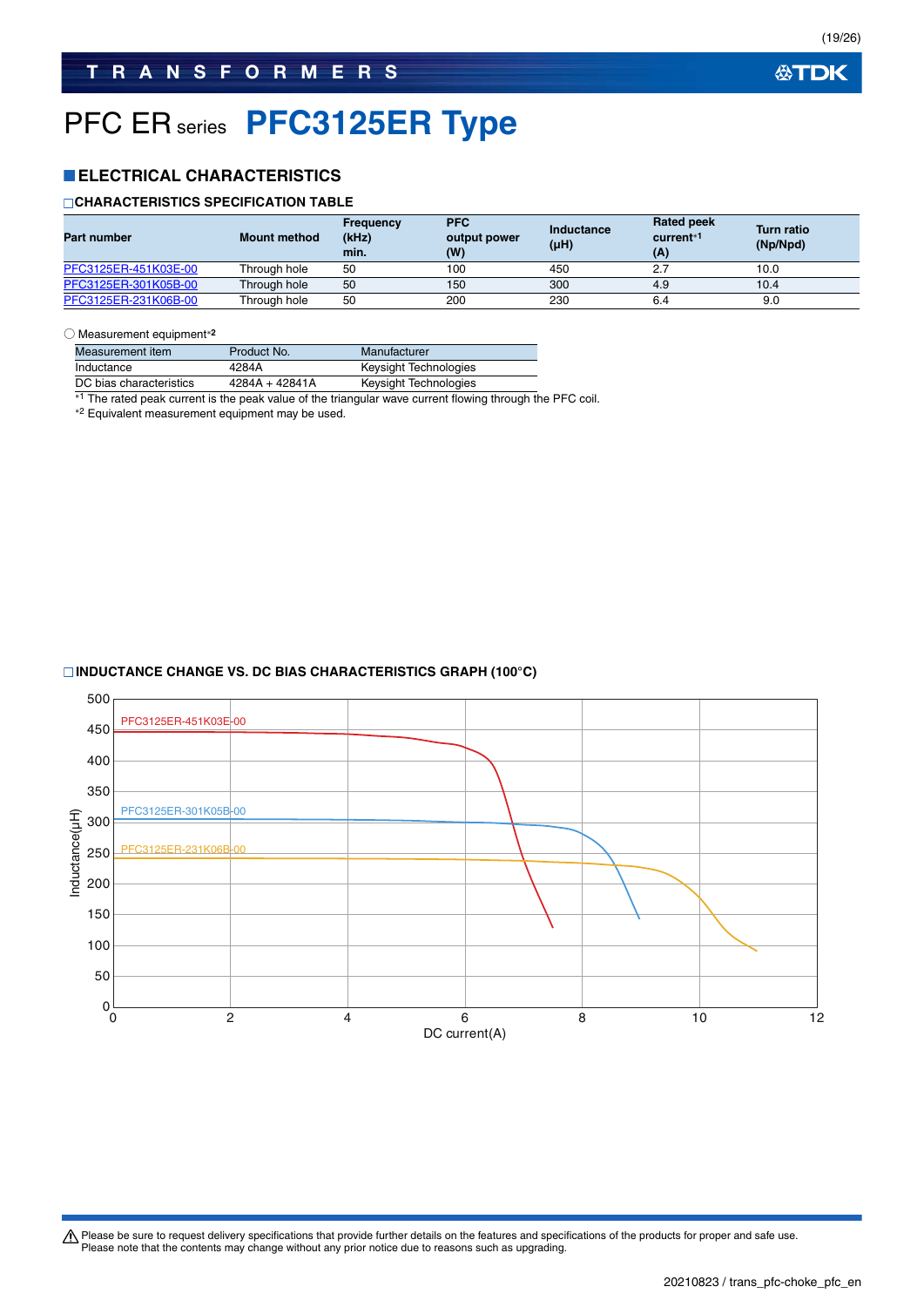# PFC ER series **PFC3125ER Type**

### **ELECTRICAL CHARACTERISTICS**

### **CHARACTERISTICS SPECIFICATION TABLE**

| <b>Part number</b>   | <b>Mount method</b> | Frequency<br>(kHz)<br>min. | <b>PFC</b><br>output power<br>(W) | Inductance<br>(µH) | <b>Rated peek</b><br>current <sup>*1</sup><br>(A) | <b>Turn ratio</b><br>(Np/Npd) |
|----------------------|---------------------|----------------------------|-----------------------------------|--------------------|---------------------------------------------------|-------------------------------|
| PFC3125ER-451K03E-00 | Through hole        | 50                         | 100                               | 450                | 2.7                                               | 10.0                          |
| PFC3125ER-301K05B-00 | Through hole        | 50                         | 150                               | 300                | 4.9                                               | 10.4                          |
| PFC3125ER-231K06B-00 | Through hole        | 50                         | 200                               | 230                | 6.4                                               | 9.0                           |

#### ○ Measurement equipment**<sup>2</sup>**

| Measurement item        | Product No.      | Manufacturer          |
|-------------------------|------------------|-----------------------|
| Inductance              | 4284A            | Keysight Technologies |
| DC bias characteristics | $4284A + 42841A$ | Keysight Technologies |

\*1 The rated peak current is the peak value of the triangular wave current flowing through the PFC coil.

2 Equivalent measurement equipment may be used.

### **INDUCTANCE CHANGE VS. DC BIAS CHARACTERISTICS GRAPH (100°C)**

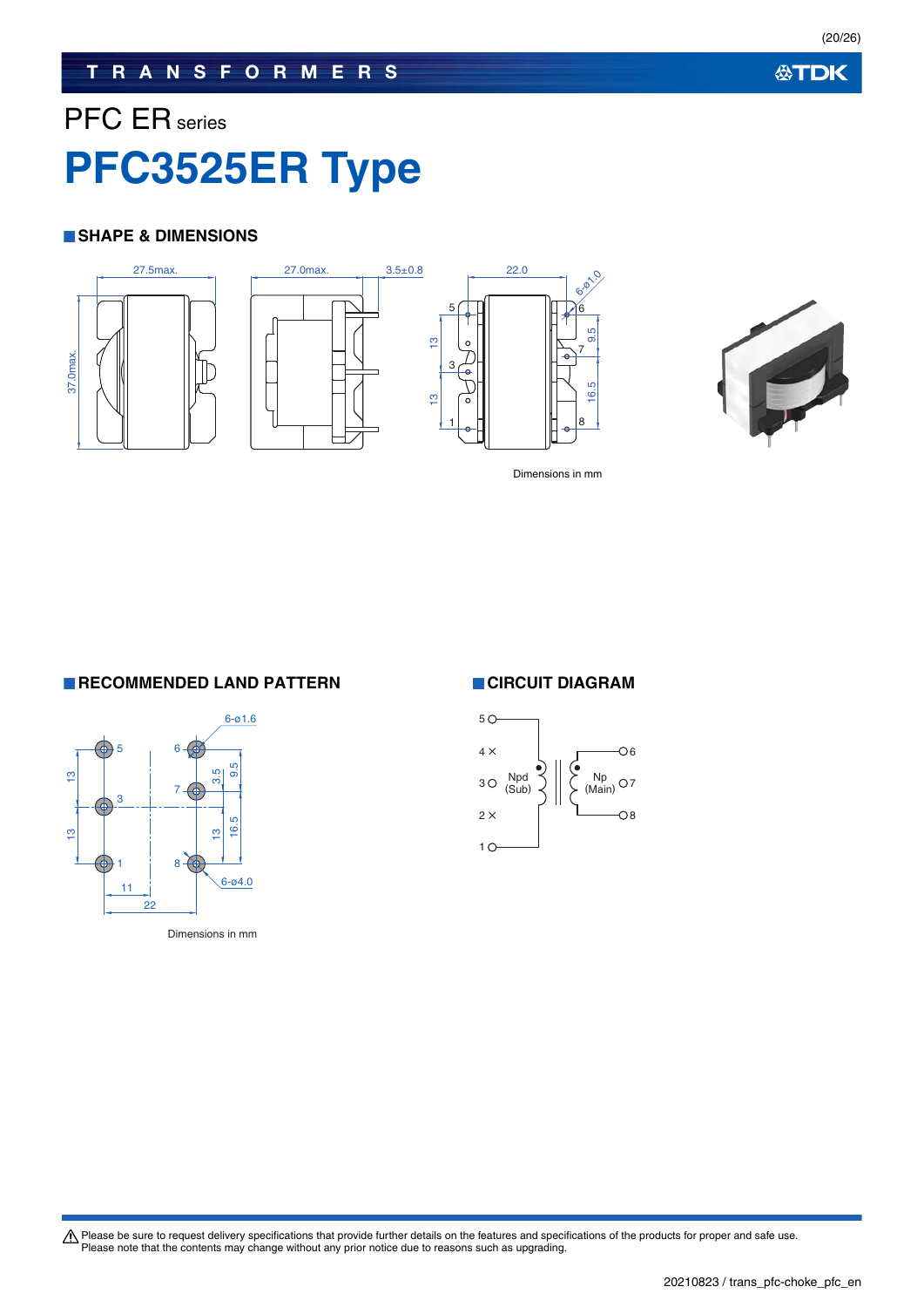### **TRANSFORMERS**

# PFC ER series **PFC3525ER Type**

### **SHAPE & DIMENSIONS**









Dimensions in mm

**RECOMMENDED LAND PATTERN CIRCUIT DIAGRAM** 



Dimensions in mm

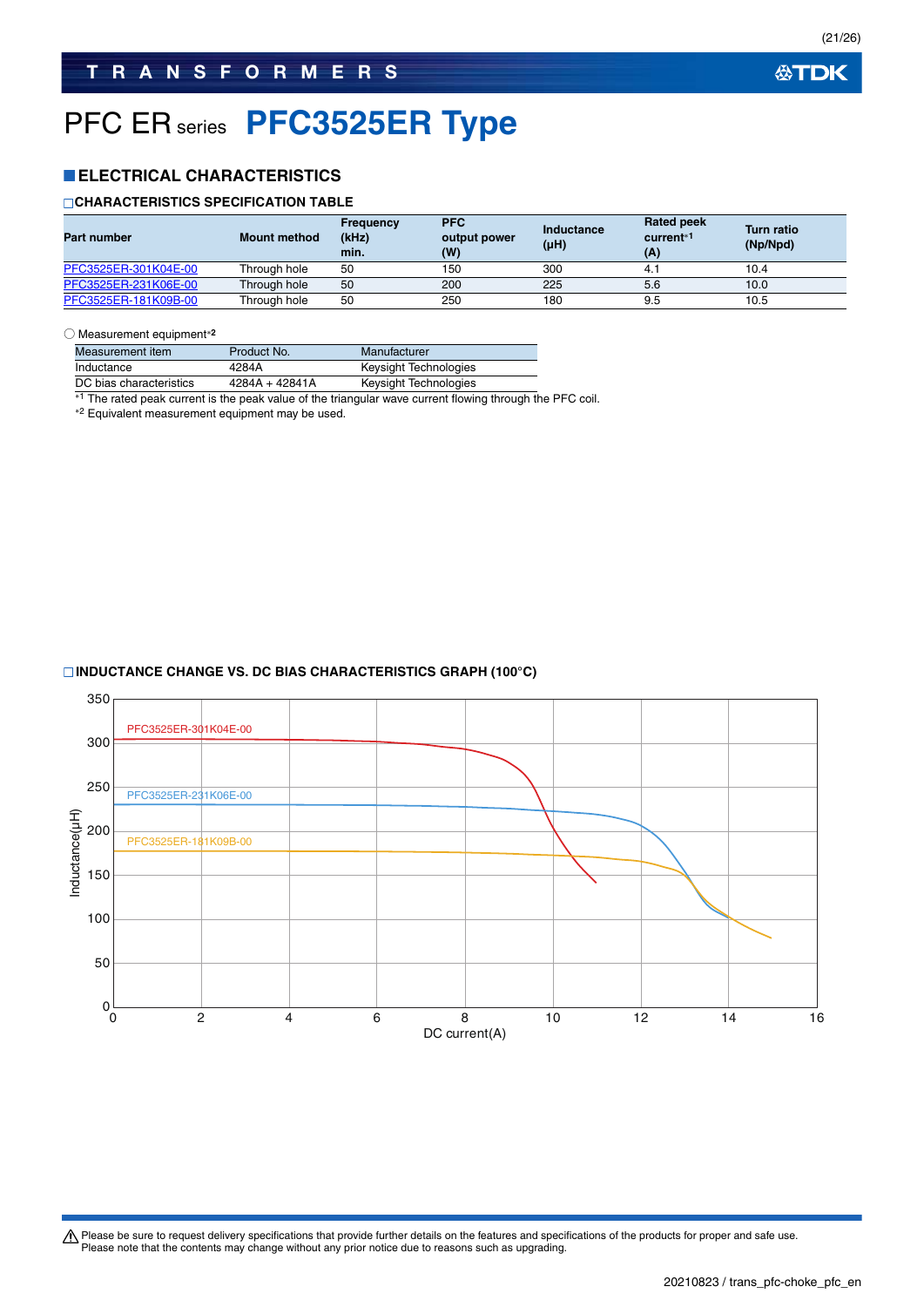# PFC ER series **PFC3525ER Type**

### **ELECTRICAL CHARACTERISTICS**

### **CHARACTERISTICS SPECIFICATION TABLE**

| <b>Part number</b>   | <b>Mount method</b> | <b>Frequency</b><br>(kHz)<br>min. | <b>PFC</b><br>output power<br>(W) | Inductance<br>$(\mu H)$ | <b>Rated peek</b><br>current <sup>*1</sup><br>(A) | <b>Turn ratio</b><br>(Np/Npd) |
|----------------------|---------------------|-----------------------------------|-----------------------------------|-------------------------|---------------------------------------------------|-------------------------------|
| PFC3525ER-301K04E-00 | Through hole        | 50                                | 150                               | 300                     | 4.1                                               | 10.4                          |
| PFC3525ER-231K06E-00 | Through hole        | 50                                | 200                               | 225                     | 5.6                                               | 10.0                          |
| PFC3525ER-181K09B-00 | Through hole        | 50                                | 250                               | 180                     | 9.5                                               | 10.5                          |

#### ○ Measurement equipment**<sup>2</sup>**

| Measurement item        | Product No.    | Manufacturer          |
|-------------------------|----------------|-----------------------|
| Inductance              | 4284A          | Keysight Technologies |
| DC bias characteristics | 4284A + 42841A | Keysight Technologies |

\*1 The rated peak current is the peak value of the triangular wave current flowing through the PFC coil.

2 Equivalent measurement equipment may be used.

### **INDUCTANCE CHANGE VS. DC BIAS CHARACTERISTICS GRAPH (100°C)**

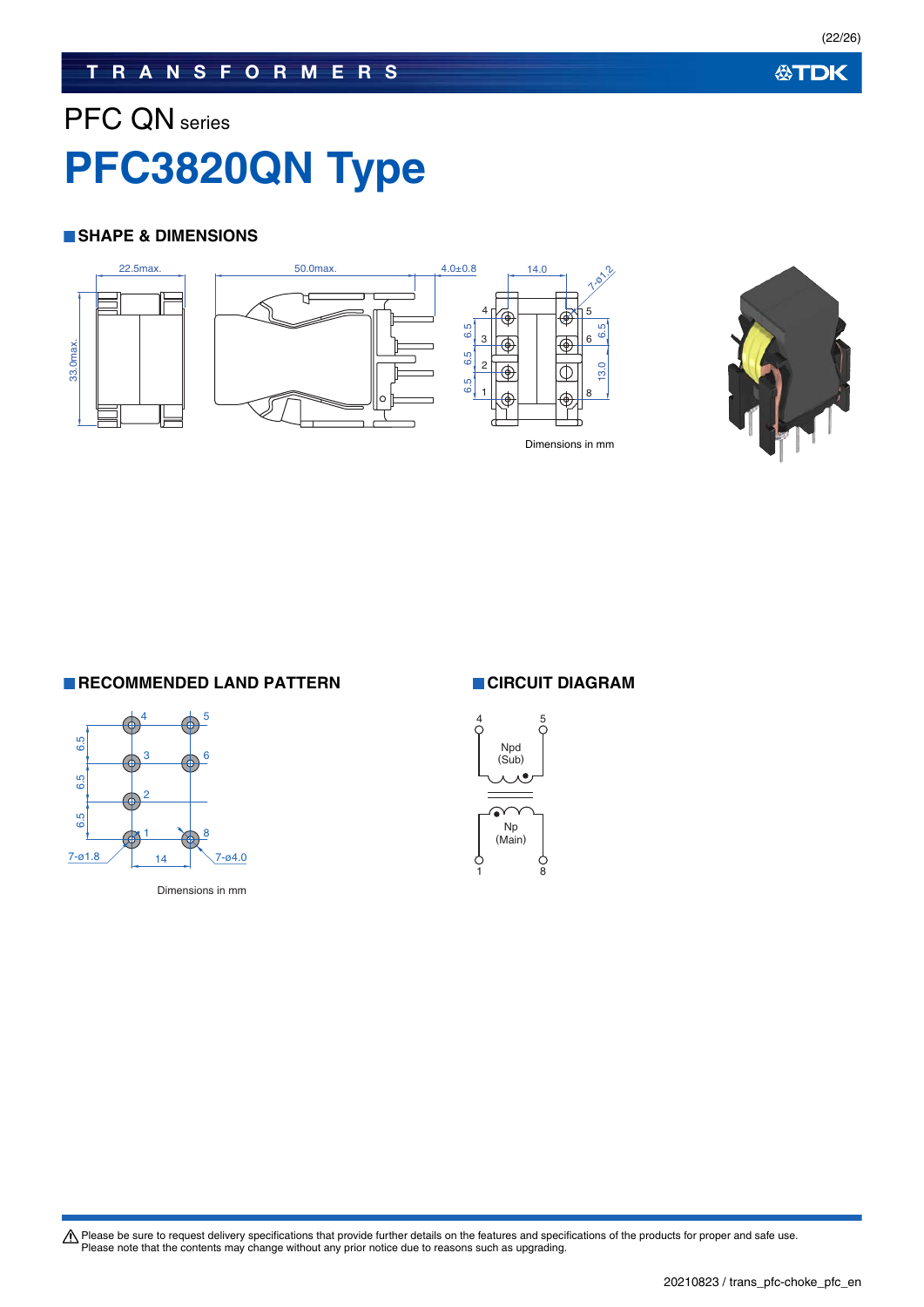## **TRANSFORMERS**

# PFC QN series **PFC3820QN Type**

### **SHAPE & DIMENSIONS**





**RECOMMENDED LAND PATTERN CIRCUIT DIAGRAM** 



Dimensions in mm

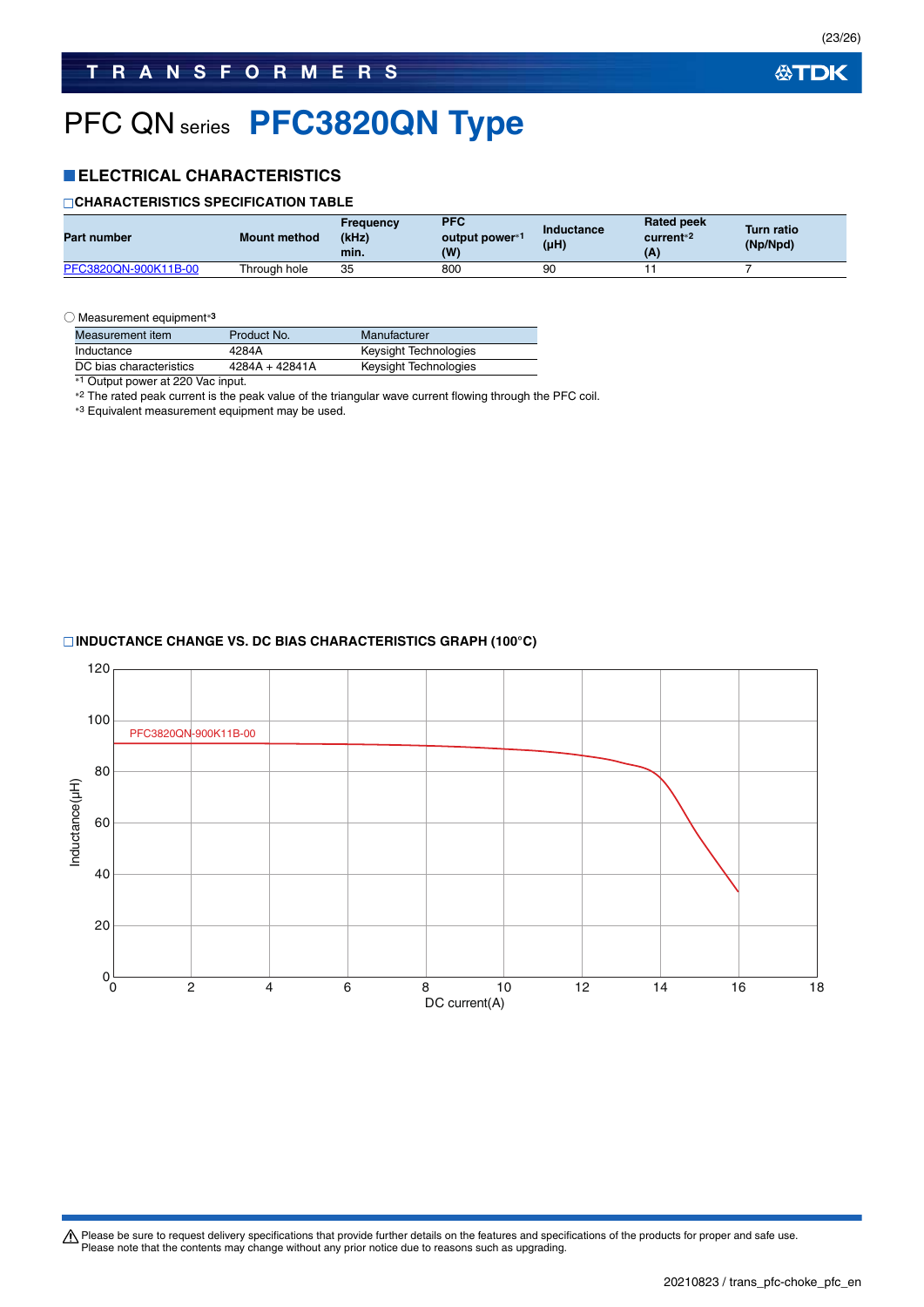# PFC QN series **PFC3820QN Type**

### **ELECTRICAL CHARACTERISTICS**

### **CHARACTERISTICS SPECIFICATION TABLE**

| <b>Part number</b>   | <b>Mount method</b> | Freauency<br>(kHz)<br>min. | <b>PFC</b><br>output power*1<br>(W) | Inductance<br>(µH) | <b>Rated peek</b><br>current <sup>*2</sup><br>(A) | <b>Turn ratio</b><br>(Np/Npd) |
|----------------------|---------------------|----------------------------|-------------------------------------|--------------------|---------------------------------------------------|-------------------------------|
| PFC3820QN-900K11B-00 | Through hole        | 35                         | 800                                 | 90                 |                                                   |                               |

○ Measurement equipment**<sup>3</sup>**

| Measurement item                                                                                                                                                                                                                     | Product No.    | Manufacturer          |
|--------------------------------------------------------------------------------------------------------------------------------------------------------------------------------------------------------------------------------------|----------------|-----------------------|
| Inductance                                                                                                                                                                                                                           | 4284A          | Keysight Technologies |
| DC bias characteristics                                                                                                                                                                                                              | 4284A + 42841A | Keysight Technologies |
| $\blacksquare$ . The contract of the contract of the contract of the contract of the contract of the contract of the contract of the contract of the contract of the contract of the contract of the contract of the contract of the |                |                       |

\*1 Output power at 220 Vac input.

\*2 The rated peak current is the peak value of the triangular wave current flowing through the PFC coil.

3 Equivalent measurement equipment may be used.

### **INDUCTANCE CHANGE VS. DC BIAS CHARACTERISTICS GRAPH (100°C)**

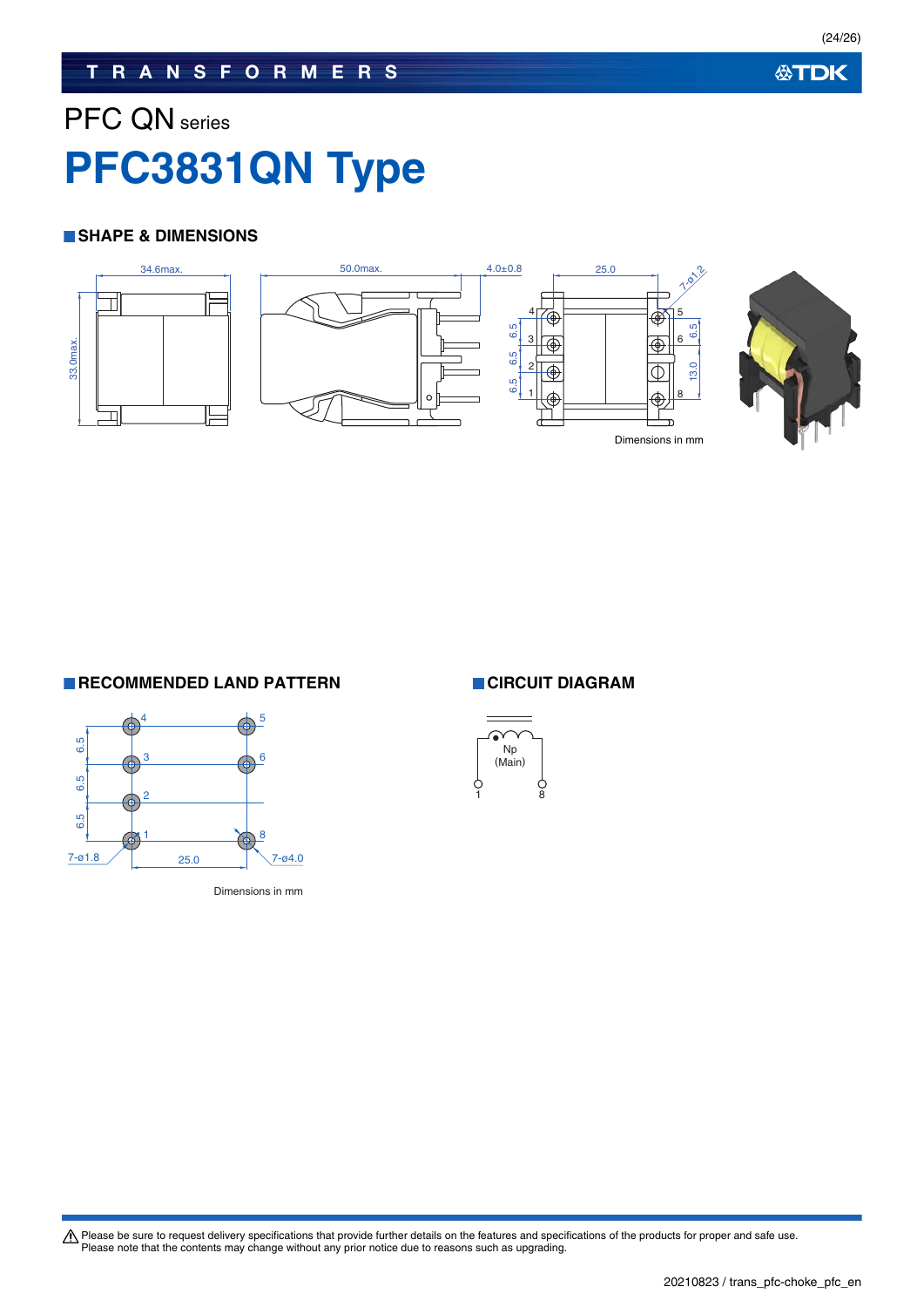## **TRANSFORMERS**

# PFC QN series **PFC3831QN Type**

### **SHAPE & DIMENSIONS**



**RECOMMENDED LAND PATTERN CIRCUIT DIAGRAM** 



Dimensions in mm

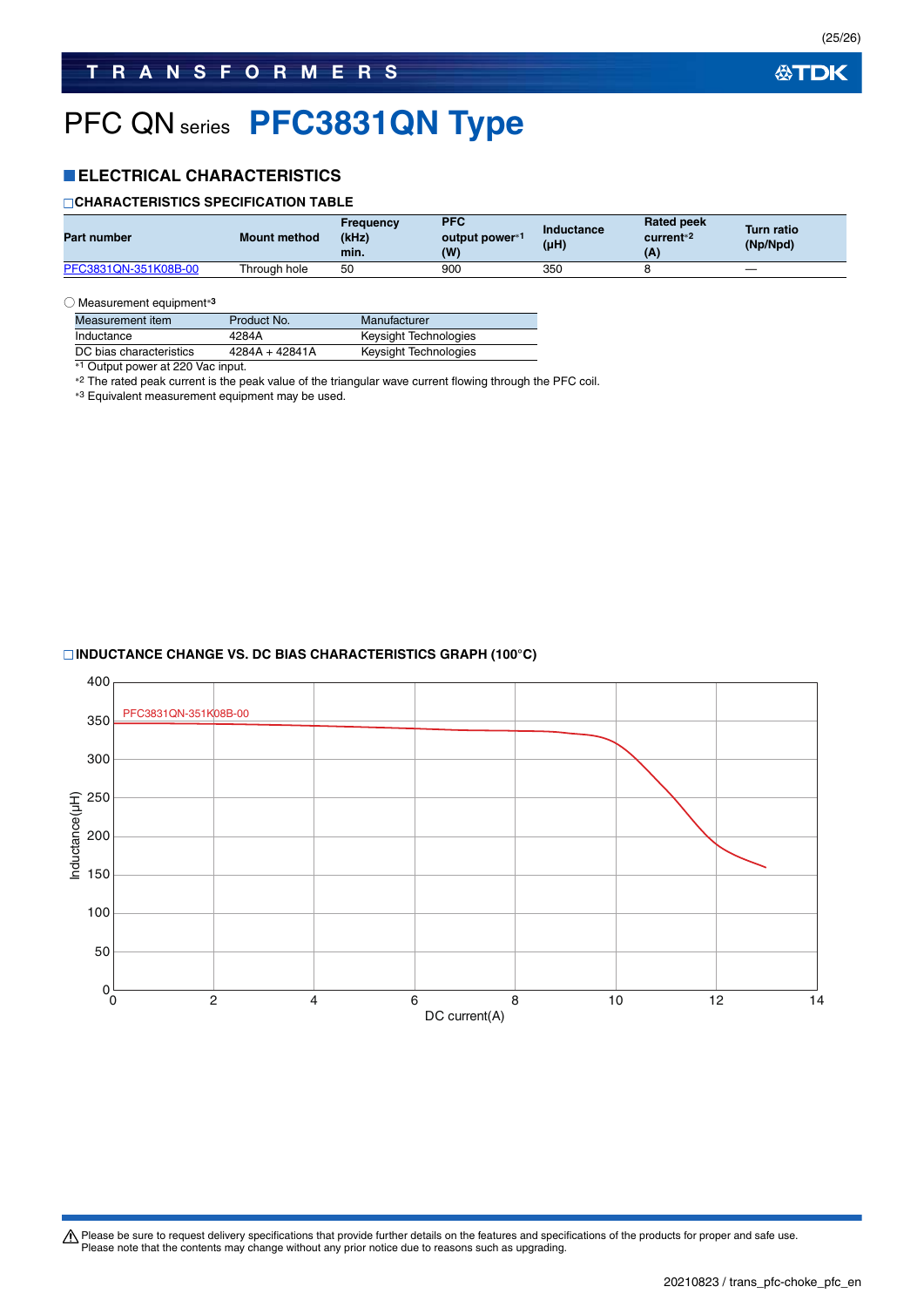# PFC QN series **PFC3831QN Type**

### **ELECTRICAL CHARACTERISTICS**

#### **CHARACTERISTICS SPECIFICATION TABLE**

| Part number          | <b>Mount method</b> | Freauencv<br>(kHz)<br>min. | <b>PFC</b><br>output power*1<br>(W) | Inductance<br>(µH) | <b>Rated peek</b><br>current <sup>*2</sup><br>(A) | <b>Turn ratio</b><br>(Np/Npd) |
|----------------------|---------------------|----------------------------|-------------------------------------|--------------------|---------------------------------------------------|-------------------------------|
| PFC3831QN-351K08B-00 | Through hole        | 50                         | 900                                 | 350                |                                                   |                               |

#### ○ Measurement equipment**<sup>3</sup>**

| Measurement item        | Product No.      | Manufacturer          |
|-------------------------|------------------|-----------------------|
| Inductance              | 4284A            | Keysight Technologies |
| DC bias characteristics | $4284A + 42841A$ | Keysight Technologies |

\*<sup>1</sup> Output power at 220 Vac input.

<sup>2</sup> The rated peak current is the peak value of the triangular wave current flowing through the PFC coil.

\*3 Equivalent measurement equipment may be used.

#### **INDUCTANCE CHANGE VS. DC BIAS CHARACTERISTICS GRAPH (100°C)**